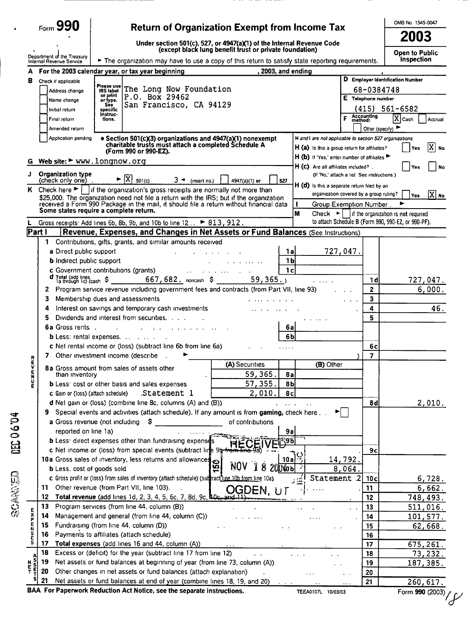|                       |                                                        |                                                                                                                                                                                                   |                                                                                                                                                                                                                                                             |                                                                                                          |                         | OMB No 1545-0047                                    |
|-----------------------|--------------------------------------------------------|---------------------------------------------------------------------------------------------------------------------------------------------------------------------------------------------------|-------------------------------------------------------------------------------------------------------------------------------------------------------------------------------------------------------------------------------------------------------------|----------------------------------------------------------------------------------------------------------|-------------------------|-----------------------------------------------------|
|                       | Form 990                                               |                                                                                                                                                                                                   | <b>Return of Organization Exempt from Income Tax</b>                                                                                                                                                                                                        |                                                                                                          |                         | 2003                                                |
|                       |                                                        |                                                                                                                                                                                                   | Under section 501(c), 527, or 4947(a)(1) of the Internal Revenue Code<br>(except black lung benefit trust or private foundation)                                                                                                                            |                                                                                                          |                         | <b>Open to Public</b>                               |
|                       | Department of the Treasury<br>Internal Revenue Service | The organization may have to use a copy of this return to satisfy state reporting requirements.                                                                                                   |                                                                                                                                                                                                                                                             |                                                                                                          |                         | Inspection                                          |
|                       |                                                        | For the 2003 calendar year, or tax year beginning                                                                                                                                                 | , 2003, and ending                                                                                                                                                                                                                                          |                                                                                                          |                         |                                                     |
| в                     | Check if applicable                                    | Piease use                                                                                                                                                                                        |                                                                                                                                                                                                                                                             |                                                                                                          |                         | D Employer Identification Number                    |
|                       | Address change                                         | 68-0384748                                                                                                                                                                                        |                                                                                                                                                                                                                                                             |                                                                                                          |                         |                                                     |
|                       | Name change                                            | or print<br>P.O. Box 29462<br>or type.                                                                                                                                                            |                                                                                                                                                                                                                                                             |                                                                                                          | E Telephone number      |                                                     |
|                       | Initial return                                         | San Francisco, CA 94129<br><b>See</b><br>specific                                                                                                                                                 |                                                                                                                                                                                                                                                             |                                                                                                          |                         | $(415) 561 - 6582$                                  |
|                       | Final return                                           | instruc-<br>tions.                                                                                                                                                                                | Accounting<br>method:                                                                                                                                                                                                                                       | $[X]$ Cash<br>Accrual                                                                                    |                         |                                                     |
|                       | Amended return                                         |                                                                                                                                                                                                   |                                                                                                                                                                                                                                                             |                                                                                                          | Other (specify)         |                                                     |
|                       | Application pending                                    | • Section 501(c)(3) organizations and 4947(a)(1) nonexempt<br>charitable trusts must attach a completed Schedule A<br>(Form 990 or 990-EZ).                                                       |                                                                                                                                                                                                                                                             | H and I are not applicable to section 527 organizations<br>$H(a)$ is this a group return for affiliates? |                         | $ X $ No<br>l Yes                                   |
|                       |                                                        | Web site: $\blacktriangleright$ www.longnow.org                                                                                                                                                   |                                                                                                                                                                                                                                                             | H (b) If 'Yes,' enter number of affiliates                                                               |                         |                                                     |
| J                     | <b>Organization type</b>                               |                                                                                                                                                                                                   |                                                                                                                                                                                                                                                             | H (c) Are all affiliates included?.<br>(If 'No,' attach a list See instructions)                         |                         | Yes<br>No                                           |
|                       | (check only one).                                      | $\blacktriangleright \boxed{X}$ 501(c)<br>$3 \triangleleft$ (insert no.)                                                                                                                          | 4947(a)(1) or<br>527                                                                                                                                                                                                                                        | H (d) is this a separate return filed by an                                                              |                         |                                                     |
|                       |                                                        | K Check here $\blacktriangleright$     if the organization's gross receipts are normally not more than<br>\$25,000. The organization need not file a return with the IRS; but if the organization |                                                                                                                                                                                                                                                             | organization covered by a group ruling?                                                                  |                         | $ X $ No<br>Yes                                     |
|                       |                                                        | received a Form 990 Package in the mail, it should file a return without financial data                                                                                                           |                                                                                                                                                                                                                                                             | $\mathbf{I}$<br>Group Exemption Number.                                                                  |                         |                                                     |
|                       |                                                        | Some states require a complete return.                                                                                                                                                            |                                                                                                                                                                                                                                                             | M<br>Check $\blacktriangleright$     if the organization is not required                                 |                         |                                                     |
|                       |                                                        | Gross receipts: Add lines 6b, 8b, 9b, and 10b to line 12 $\blacktriangleright$ 813, 912.                                                                                                          |                                                                                                                                                                                                                                                             |                                                                                                          |                         | to attach Schedule B (Form 990, 990-EZ, or 990-PF). |
| Part I                |                                                        | Revenue, Expenses, and Changes in Net Assets or Fund Balances (See Instructions)                                                                                                                  |                                                                                                                                                                                                                                                             |                                                                                                          |                         |                                                     |
|                       | 1                                                      | Contributions, gifts, grants, and similar amounts received                                                                                                                                        |                                                                                                                                                                                                                                                             |                                                                                                          |                         |                                                     |
|                       | a Direct public support                                | and the state of                                                                                                                                                                                  | 1a                                                                                                                                                                                                                                                          | 727,047.                                                                                                 |                         |                                                     |
|                       | <b>b</b> Indirect public support                       |                                                                                                                                                                                                   | 1 b                                                                                                                                                                                                                                                         |                                                                                                          |                         |                                                     |
|                       |                                                        | c Government contributions (grants)                                                                                                                                                               | 1 <sub>c</sub><br>and the contract of the contract of the contract of the contract of the contract of the contract of the contract of the contract of the contract of the contract of the contract of the contract of the contract of the contra<br>59,365. |                                                                                                          |                         |                                                     |
|                       | 2                                                      | Program service revenue including government fees and contracts (from Part VII, line 93)                                                                                                          |                                                                                                                                                                                                                                                             |                                                                                                          | 1 d<br>$\mathbf{2}$     | 727,047.<br>6,000.                                  |
|                       | з                                                      | Membership dues and assessments                                                                                                                                                                   | $\overline{\mathbf{3}}$                                                                                                                                                                                                                                     |                                                                                                          |                         |                                                     |
|                       | 4                                                      | Interest on savings and temporary cash investments                                                                                                                                                | $\cdots$<br>4                                                                                                                                                                                                                                               | 46.                                                                                                      |                         |                                                     |
|                       | 5                                                      | Dividends and interest from securities.                                                                                                                                                           | 5                                                                                                                                                                                                                                                           |                                                                                                          |                         |                                                     |
|                       | <b>6a Gross rents</b> .                                | <b>Contract Contract</b><br>the contract of the contract of the contract of the contract of the contract of the contract of the contract of                                                       | 6a                                                                                                                                                                                                                                                          |                                                                                                          |                         |                                                     |
|                       |                                                        | <b>b</b> Less: rental expenses. $\ldots$ $\ldots$                                                                                                                                                 | 6 <b>b</b>                                                                                                                                                                                                                                                  |                                                                                                          |                         |                                                     |
|                       |                                                        | c Net rental income or (loss) (subtract line 6b from line 6a)                                                                                                                                     | 6с                                                                                                                                                                                                                                                          |                                                                                                          |                         |                                                     |
|                       | 7                                                      | Other investment income (describe                                                                                                                                                                 |                                                                                                                                                                                                                                                             |                                                                                                          | $\overline{\mathbf{z}}$ |                                                     |
| R<br>E<br>V           |                                                        | 8a Gross amount from sales of assets other                                                                                                                                                        | (A) Securities                                                                                                                                                                                                                                              | (B) Other                                                                                                |                         |                                                     |
| E<br>N<br>U           | than inventory                                         |                                                                                                                                                                                                   | 59,365.<br>8а                                                                                                                                                                                                                                               |                                                                                                          |                         |                                                     |
|                       |                                                        | <b>b</b> Less <sup><i>c</i></sup> cost or other basis and sales expenses                                                                                                                          | 57, 355.<br>8 <sub>b</sub>                                                                                                                                                                                                                                  |                                                                                                          |                         |                                                     |
|                       | c Gain or (loss) (attach schedule)                     | Statement 1                                                                                                                                                                                       | 2,010.<br>8c                                                                                                                                                                                                                                                |                                                                                                          |                         |                                                     |
|                       |                                                        | d Net gain or (loss) (combine line 8c, columns (A) and (B))                                                                                                                                       |                                                                                                                                                                                                                                                             |                                                                                                          | 8d                      | 2,010.                                              |
|                       |                                                        | Special events and activities (attach schedule). If any amount is from gaming, check here                                                                                                         |                                                                                                                                                                                                                                                             |                                                                                                          |                         |                                                     |
|                       |                                                        | <b>a</b> Gross revenue (not including $\frac{1}{2}$                                                                                                                                               | of contributions                                                                                                                                                                                                                                            |                                                                                                          |                         |                                                     |
|                       | reported on line 1a)                                   |                                                                                                                                                                                                   | 9a                                                                                                                                                                                                                                                          |                                                                                                          |                         |                                                     |
|                       |                                                        | <b>b</b> Less: direct expenses other than fundraising expenses                                                                                                                                    |                                                                                                                                                                                                                                                             |                                                                                                          |                         |                                                     |
|                       |                                                        | c Net income or (loss) from special events (subtract line 9b from line 9a)                                                                                                                        |                                                                                                                                                                                                                                                             |                                                                                                          | 9c                      |                                                     |
|                       |                                                        | 10a Gross sales of inventory, less returns and allowances                                                                                                                                         | 10a<br>150<br>8<br>2004оъ                                                                                                                                                                                                                                   | 14,792.                                                                                                  |                         |                                                     |
|                       | <b>b</b> Less. cost of goods sold                      | c Gross profit or (loss) from sales of inventory (attach schedule) (subract line 10b from line 10a).                                                                                              |                                                                                                                                                                                                                                                             | 8,064.<br>Statement 2                                                                                    | 10 <sub>c</sub>         |                                                     |
|                       | 11                                                     | Other revenue (from Part VII, line 103).                                                                                                                                                          |                                                                                                                                                                                                                                                             | 上空厂                                                                                                      | 11                      | 6,728.<br>6,662.                                    |
|                       | 12                                                     | Total revenue (add lines 1d, 2, 3, 4, 5, 6c, 7, 8d, 9c, 40c, and 11)                                                                                                                              | OGDEN, UT                                                                                                                                                                                                                                                   |                                                                                                          | 12                      | 748,493.                                            |
|                       | 13                                                     | Program services (from line 44, column (B))                                                                                                                                                       |                                                                                                                                                                                                                                                             |                                                                                                          | 13                      | 511,016.                                            |
| x                     | 14                                                     | Management and general (from line 44, column (C))                                                                                                                                                 |                                                                                                                                                                                                                                                             |                                                                                                          | 14                      | 101,577.                                            |
|                       |                                                        | Fundraising (from line 44, column (D))                                                                                                                                                            | $\mathbf{r}=\mathbf{r}$                                                                                                                                                                                                                                     |                                                                                                          | 15                      | 62,668.                                             |
| P<br>E                | 15                                                     | Payments to affiliates (attach schedule)                                                                                                                                                          |                                                                                                                                                                                                                                                             |                                                                                                          | 16                      |                                                     |
| Ν                     | 16                                                     |                                                                                                                                                                                                   |                                                                                                                                                                                                                                                             |                                                                                                          |                         |                                                     |
| S<br>C<br>S           | 17                                                     | Total expenses (add lines 16 and 44, column (A))                                                                                                                                                  | $\sim 100$ km s $^{-1}$                                                                                                                                                                                                                                     |                                                                                                          | 17                      | 675,261.                                            |
|                       | 18                                                     | Excess or (deficit) for the year (subtract line 17 from line 12)                                                                                                                                  | $\ddotsc$                                                                                                                                                                                                                                                   |                                                                                                          | 18                      | 73,232.                                             |
|                       | 19                                                     | Net assets or fund balances at beginning of year (from line 73, column (A))                                                                                                                       |                                                                                                                                                                                                                                                             |                                                                                                          | 19                      | 187,385.                                            |
| S<br>E<br>T<br>n<br>T | 20                                                     | Other changes in net assets or fund balances (attach explanation)                                                                                                                                 |                                                                                                                                                                                                                                                             |                                                                                                          | 20                      |                                                     |
| s                     | 21                                                     | Net assets or fund balances at end of year (combine lines 18, 19, and 20)<br>BAA For Paperwork Reduction Act Notice, see the separate instructions.                                               |                                                                                                                                                                                                                                                             |                                                                                                          | 21                      | 260,617.                                            |

**PO.90 JED DECORATES** 

j,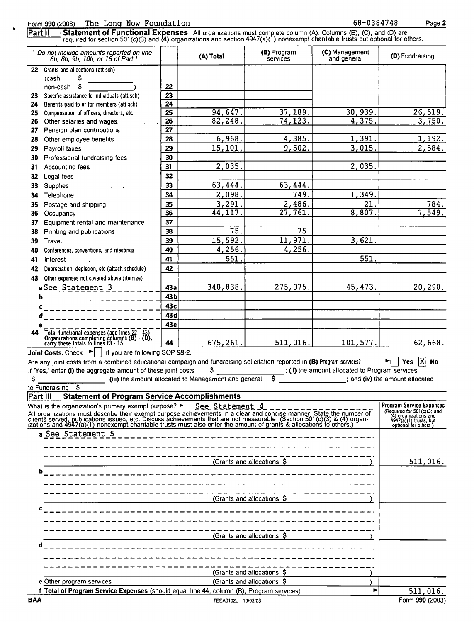Page 2

Form 990 (2003) The Long Now Foundation 68-0384748 Statement of Functional Expenses All organizations must complete column (A). Columns (B), (C), and (D) are required for section 501(c)(3) and (4) organizations and section 4947(a)(1) nonexempt charitable trusts but optiona  $\overline{\mathsf{PartII}}$ Do not include amounts reported on line (B) Program (C) Management (D) Fundraising (A) Total 6b. 8b. 9b. 10b. or 16 of Part I and general Services 22 Grants and allocations (att sch) (cash S Ś  $22$ non-cash  $\overline{23}$ 23 Specific assistance to individuals (att sch) Benefits paid to or for members (att sch)  $\overline{24}$  $24$ 94.647  $37.189$  $30.939$  $26.519.$  $25$ Compensation of officers, directors, etc.  $\overline{25}$  $3.750.$  $82.248.$  $74.123$  $4.375$ 26 Other salaries and wages 26  $\overline{27}$ 27 Pension plan contributions  $1,391$  $1.192.$  $6.968$ 4,385. 28 Other employee benefits. 28 15,101  $9.502.$  $3,015$ 2,584 29 Pavroll taxes 29 30 30 Professional fundraising fees 2.035 2,035  $31$ Accounting fees.  $31$ 32  $32$ Legal fees 63.444 63,444 Supplies 33  $33$  $2.098$ 749  $1,349$ 34 Telephone 34  $3, 291.$ 35  $2.486.$ 21  $784$  $35$ Postage and shipping  $\overline{36}$  $44.117.$  $\overline{27.761}$  $8,807$ 7,549 36 Occupancy Equipment rental and maintenance 37  $37$ 75 Printing and publications 38 75 38 15,592  $.971$  $11.$ 3,621 39 39 Travel 4.256. 4.256. 40 Conferences, conventions, and meetings 40  $\overline{551}$ 41 551 41 Interest Depreciation, depletion, etc (attach schedule) 42 42 Other expenses not covered above (itemize): 43 275.075. 45, 473 20,290.  $43a$ 340,838. a See Statement 3  $43<sub>b</sub>$  $\mathbf b$ 43<sub>c</sub> 43d 43e Total functional expenses (add lines 22 - 43)<br>Organizations completing columns (B) - (D),<br>carry these totals to lines 13 - 15  $\mathbf{A}$ 675,261 511,016 101,577 62,668. М Joint Costs. Check  $\blacktriangleright$  | If you are following SOP 98-2. Are any joint costs from a combined educational campaign and fundraising solicitation reported in (B) Program services?  $\blacktriangleright \Box$  Yes  $[X]$  No ; (ii) the amount allocated to Program services If 'Yes,' enter (i) the aggregate amount of these joint costs Ś.  $\mathsf{S}$ ; (iii) the amount allocated to Management and general  $\overline{\mathsf{s}}$ ; and (iv) the amount allocated to Fundraising \$ **Fart III** Statement of Program Service Accomplishments **Program Service Expenses** What is the organization's primary exempt purpose? > See Statement 4 (Required for 501( $c$ )(3) and<br>(4) organizations and<br>4947(a)(1) trusts, but<br>optional for others) All organizations must describe their exempt purpose achievements in a clear and concise manner. State the number of<br>clients served, publications issued, etc. Discuss achievements that are not measurable (Section 501(c)(3) a See Statement 5  $511,016.$ (Grants and allocations S (Grants and allocations \$ (Grants and allocations \$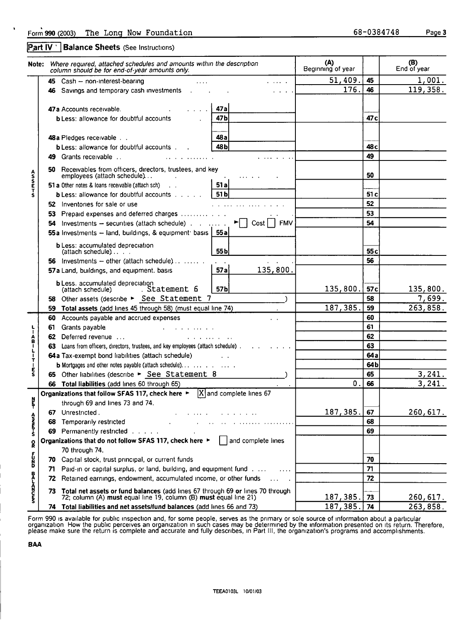Part IV | Balance Sheets (See Instructions)

|                 |     | Note: Where required, attached schedules and amounts within the description<br>column should be for end-of-year amounts only. |                                                                                                                                                                                                                                   | (A)<br>Beginning of year |                 | (B)<br>End of year |
|-----------------|-----|-------------------------------------------------------------------------------------------------------------------------------|-----------------------------------------------------------------------------------------------------------------------------------------------------------------------------------------------------------------------------------|--------------------------|-----------------|--------------------|
|                 |     | 45 Cash - non-interest-bearing                                                                                                |                                                                                                                                                                                                                                   | 51,409.                  | 45              | 1,001.             |
|                 |     | 46 Savings and temporary cash investments and the same state.                                                                 |                                                                                                                                                                                                                                   | 176.                     | 46              | 119,358.           |
|                 |     |                                                                                                                               |                                                                                                                                                                                                                                   |                          |                 |                    |
|                 |     | 47a Accounts receivable.                                                                                                      | 47a                                                                                                                                                                                                                               |                          |                 |                    |
|                 |     | <b>b</b> Less: allowance for doubtful accounts                                                                                | 47b                                                                                                                                                                                                                               |                          | 47 <sub>c</sub> |                    |
|                 |     |                                                                                                                               |                                                                                                                                                                                                                                   |                          |                 |                    |
|                 |     | 48 a Pledges receivable                                                                                                       | 48а                                                                                                                                                                                                                               |                          |                 |                    |
|                 |     | <b>b</b> Less: allowance for doubtful accounts                                                                                | 48 bl                                                                                                                                                                                                                             |                          | 48 c            |                    |
|                 |     | 49 Grants receivable                                                                                                          |                                                                                                                                                                                                                                   |                          | 49              |                    |
|                 |     | Receivables from officers, directors, trustees, and key                                                                       |                                                                                                                                                                                                                                   |                          |                 |                    |
| <b>ASSETS</b>   |     | employees (attach schedule)                                                                                                   |                                                                                                                                                                                                                                   |                          | 50              |                    |
|                 |     | 51 a Other notes & Ioans receivable (attach sch)                                                                              | 51 al                                                                                                                                                                                                                             |                          |                 |                    |
|                 |     | <b>b</b> Less: allowance for doubtful accounts $\ldots$                                                                       | 51 bl                                                                                                                                                                                                                             |                          | 51 c            |                    |
|                 |     | 52 Inventories for sale or use                                                                                                | $\mathbf{r}$ . The second particle is a set of the second second second second second second second second second second second second second second second second second second second second second second second second second |                          | 52              |                    |
|                 |     | 53 Prepaid expenses and deferred charges                                                                                      |                                                                                                                                                                                                                                   |                          | 53              |                    |
|                 | 54  | Investments - securities (attach schedule) $\blacktriangleright \Box$ Cost                                                    |                                                                                                                                                                                                                                   |                          | 54              |                    |
|                 |     | 55a Investments - land, buildings, & equipment: basis $\vert$ 55a                                                             |                                                                                                                                                                                                                                   |                          |                 |                    |
|                 |     |                                                                                                                               |                                                                                                                                                                                                                                   |                          |                 |                    |
|                 |     | <b>b</b> Less: accumulated depreciation<br>(attach schedule)                                                                  | 55 <sub>b</sub>                                                                                                                                                                                                                   |                          | 55 <sub>c</sub> |                    |
|                 |     | 56 Investments $-$ other (attach schedule) $\ldots \ldots$                                                                    |                                                                                                                                                                                                                                   |                          | 56              |                    |
|                 |     | 57 a Land, buildings, and equipment. basis                                                                                    | <b>57ai</b><br>135,800.                                                                                                                                                                                                           |                          |                 |                    |
|                 |     | <b>b</b> Less, accumulated depreciation                                                                                       |                                                                                                                                                                                                                                   |                          |                 |                    |
|                 |     | Statement 6<br>(attach schedule)                                                                                              | 57 <sub>b</sub>                                                                                                                                                                                                                   | 135,800.                 | 57c             | 135,800.           |
|                 |     | 58 Other assets (describe > See Statement 7                                                                                   |                                                                                                                                                                                                                                   |                          | 58              | 7,699.             |
|                 |     | 59 Total assets (add lines 45 through 58) (must equal line 74)                                                                |                                                                                                                                                                                                                                   | 187,385                  | 59              | 263,858.           |
|                 |     | 60 Accounts payable and accrued expenses                                                                                      |                                                                                                                                                                                                                                   |                          | 60              |                    |
|                 | 61  | Grants payable                                                                                                                |                                                                                                                                                                                                                                   |                          | 61              |                    |
|                 | 62  | Deferred revenue                                                                                                              |                                                                                                                                                                                                                                   |                          | 62              |                    |
|                 |     | 63 Loans from officers, directors, trustees, and key employees (attach schedule).                                             |                                                                                                                                                                                                                                   |                          | 63              |                    |
| ABILIT          |     | 64a Tax-exempt bond liabilities (attach schedule)                                                                             |                                                                                                                                                                                                                                   |                          | 64a             |                    |
|                 |     |                                                                                                                               |                                                                                                                                                                                                                                   |                          | 64b             |                    |
| Ė<br>S          |     | 65 Other liabilities (describe > See Statement 8                                                                              |                                                                                                                                                                                                                                   |                          | 65              | 3,241.             |
|                 |     | 66 Total liabilities (add lines 60 through 65)                                                                                |                                                                                                                                                                                                                                   | 0.                       | 66              | 3, 241.            |
|                 |     | Organizations that follow SFAS 117, check here $\blacktriangleright$ $ X $ and complete lines 67                              |                                                                                                                                                                                                                                   |                          |                 |                    |
| È<br>т          |     | through 69 and lines 73 and 74.                                                                                               |                                                                                                                                                                                                                                   |                          |                 |                    |
|                 | 67  | Unrestricted.                                                                                                                 |                                                                                                                                                                                                                                   | 187,385.                 | 67              | 260, 617.          |
| へいさん            | 68  | Temporarily restricted                                                                                                        |                                                                                                                                                                                                                                   |                          | 68              |                    |
|                 | 69  | Permanently restricted                                                                                                        |                                                                                                                                                                                                                                   |                          | 69              |                    |
| R               |     | Organizations that do not follow SFAS 117, check here ►                                                                       | and complete lines                                                                                                                                                                                                                |                          |                 |                    |
|                 |     | 70 through 74.                                                                                                                |                                                                                                                                                                                                                                   |                          |                 |                    |
| <b>SZCF</b>     |     | 70 Capital stock, trust principal, or current funds                                                                           |                                                                                                                                                                                                                                   |                          | 70              |                    |
|                 | 71  | Paid-in or capital surplus, or land, building, and equipment fund                                                             |                                                                                                                                                                                                                                   |                          | 71              |                    |
| <b>DECISION</b> | 72  | Retained earnings, endowment, accumulated income, or other funds                                                              |                                                                                                                                                                                                                                   |                          | 72              |                    |
|                 | 73. | Total net assets or fund balances (add lines 67 through 69 or lines 70 through                                                |                                                                                                                                                                                                                                   |                          |                 |                    |
|                 |     | 72; column (A) must equal line 19, column (B) must equal line 21)                                                             |                                                                                                                                                                                                                                   | 187,385.                 | 73              | 260, 617.          |
|                 |     | 74 Total liabilities and net assets/fund balances (add lines 66 and 73)                                                       |                                                                                                                                                                                                                                   | 187, 385.                | 74              | 263,858.           |

Form 990 is available for public inspection and, for some people, serves as the primary or sole source of information about a particular<br>organization. How the public perceives an organization in such cases may be determine

BAA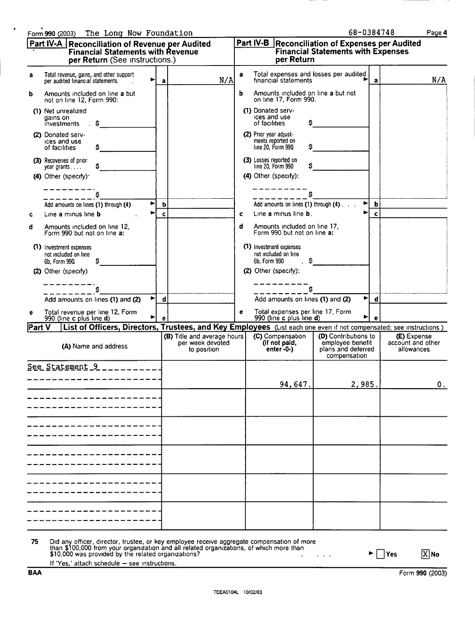| Part IV-A Reconciliation of Revenue per Audited<br><b>Financial Statements with Revenue</b><br>per Return (See Instructions.) |                                                                                                                    |             | Part IV-B Reconciliation of Expenses per Audited<br><b>Financial Statements with Expenses</b><br>per Return |   |                                                                      |                                                                                |              |                                                |
|-------------------------------------------------------------------------------------------------------------------------------|--------------------------------------------------------------------------------------------------------------------|-------------|-------------------------------------------------------------------------------------------------------------|---|----------------------------------------------------------------------|--------------------------------------------------------------------------------|--------------|------------------------------------------------|
| a                                                                                                                             | Total revenue, gains, and other support<br>per audited financial statements.                                       | a           | N/A                                                                                                         | a | Total expenses and losses per audited<br>financial statements        |                                                                                | $\mathbf{a}$ | N/A                                            |
| b                                                                                                                             | Amounts included on line a but<br>not on line 12, Form 990:                                                        |             |                                                                                                             | b | Amounts included on line a but not<br>on line 17, Form 990.          |                                                                                |              |                                                |
|                                                                                                                               | (1) Net unrealized<br>gains on<br>investments<br>s                                                                 |             |                                                                                                             |   | (1) Donated serv-<br>ices and use<br>s<br>of facilities              |                                                                                |              |                                                |
|                                                                                                                               | (2) Donated serv-<br>ices and use<br>of facilities                                                                 |             |                                                                                                             |   | (2) Prior year adjust-<br>ments reported on<br>line 20, Form 990     |                                                                                |              |                                                |
|                                                                                                                               | (3) Recoveries of prior<br>s<br>year grants                                                                        |             |                                                                                                             |   | (3) Losses reported on<br>line 20, Form 990                          |                                                                                |              |                                                |
|                                                                                                                               | (4) Other (specify):                                                                                               |             |                                                                                                             |   | (4) Other (specify):                                                 |                                                                                |              |                                                |
|                                                                                                                               |                                                                                                                    |             |                                                                                                             |   |                                                                      |                                                                                |              |                                                |
|                                                                                                                               | Add amounts on lines (1) through (4)                                                                               | b           |                                                                                                             |   | Add amounts on lines (1) through (4)                                 | $\blacktriangleright$                                                          | $\mathbf b$  |                                                |
| c                                                                                                                             | Line a minus line b                                                                                                | $\mathbf c$ |                                                                                                             | c | Line a minus line <b>b</b> .                                         |                                                                                | $\mathbf c$  |                                                |
| d                                                                                                                             | Amounts included on line 12,<br>Form 990 but not on line a:                                                        |             |                                                                                                             | d | Amounts included on line 17,<br>Form 990 but not on line a:          |                                                                                |              |                                                |
|                                                                                                                               | (1) Investment expenses<br>not included on line<br>6b, Form 990                                                    |             |                                                                                                             |   | (1) Investment expenses<br>not included on line<br>6b, Form 990<br>s |                                                                                |              |                                                |
|                                                                                                                               | (2) Other (specify)                                                                                                |             |                                                                                                             |   | (2) Other (specify):                                                 |                                                                                |              |                                                |
|                                                                                                                               |                                                                                                                    |             |                                                                                                             |   |                                                                      |                                                                                |              |                                                |
|                                                                                                                               | ▶<br>Add amounts on lines (1) and (2)                                                                              | d           |                                                                                                             |   | Add amounts on lines (1) and (2)                                     |                                                                                | d            |                                                |
| е                                                                                                                             | Total revenue per line 12, Form<br>990 (line c plus line d)                                                        |             |                                                                                                             | e | Total expenses per line 17, Form<br>990 (line c plus line d)         |                                                                                |              |                                                |
| Part V                                                                                                                        | List of Officers, Directors, Trustees, and Key Employees (List each one even if not compensated; see instructions) |             |                                                                                                             |   |                                                                      |                                                                                |              |                                                |
|                                                                                                                               | (A) Name and address                                                                                               |             | (B) Title and average hours<br>per week devoted<br>to position                                              |   | (C) Compensation<br>(if not paid,<br>$enter - 0 - )$                 | (D) Contributions to<br>employee benefit<br>plans and deferred<br>compensation |              | (E) Expense<br>account and other<br>allowances |
|                                                                                                                               | See Statement 9                                                                                                    |             |                                                                                                             |   |                                                                      |                                                                                |              |                                                |
|                                                                                                                               |                                                                                                                    |             |                                                                                                             |   | 94,647.                                                              | 2,985                                                                          |              |                                                |
|                                                                                                                               |                                                                                                                    |             |                                                                                                             |   |                                                                      |                                                                                |              |                                                |
|                                                                                                                               |                                                                                                                    |             |                                                                                                             |   |                                                                      |                                                                                |              |                                                |
|                                                                                                                               |                                                                                                                    |             |                                                                                                             |   |                                                                      |                                                                                |              |                                                |
|                                                                                                                               |                                                                                                                    |             |                                                                                                             |   |                                                                      |                                                                                |              |                                                |
|                                                                                                                               |                                                                                                                    |             |                                                                                                             |   |                                                                      |                                                                                |              |                                                |
|                                                                                                                               |                                                                                                                    |             |                                                                                                             |   |                                                                      |                                                                                |              |                                                |
|                                                                                                                               |                                                                                                                    |             |                                                                                                             |   |                                                                      |                                                                                |              |                                                |
|                                                                                                                               |                                                                                                                    |             |                                                                                                             |   |                                                                      |                                                                                |              |                                                |
|                                                                                                                               |                                                                                                                    |             |                                                                                                             |   |                                                                      |                                                                                |              |                                                |

75 Did any officer, director, trustee, or key employee receive aggregate compensation of more<br>than \$100,000 from your organization and all related organizations, of which more than<br>\$10,000 was provided by the related organ  $\blacktriangleright \Box$  Yes  $\boxed{X}$  No  $\omega_{\rm{max}}$ 

If 'Yes,' attach schedule — see instructions.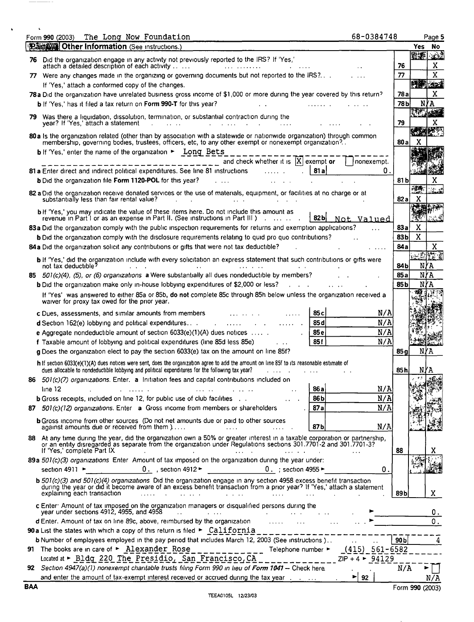|    | The Long Now Foundation<br>68-0384748<br>Form 990 (2003)<br><b>Party 18 Other Information</b> (See Instructions.)                                                                                                                                                                                                                                                                                |                 | Yes No                | Page 5 |
|----|--------------------------------------------------------------------------------------------------------------------------------------------------------------------------------------------------------------------------------------------------------------------------------------------------------------------------------------------------------------------------------------------------|-----------------|-----------------------|--------|
|    |                                                                                                                                                                                                                                                                                                                                                                                                  |                 | 塑製 202                |        |
|    | 76 Did the organization engage in any activity not previously reported to the IRS? If 'Yes,'<br>attach a detailed description of each activity                                                                                                                                                                                                                                                   | 76              |                       |        |
|    | 77 Were any changes made in the organizing or governing documents but not reported to the IRS?                                                                                                                                                                                                                                                                                                   | 77              |                       |        |
|    | If 'Yes,' attach a conformed copy of the changes.                                                                                                                                                                                                                                                                                                                                                |                 | <b>PART CONT</b>      |        |
|    | 78a Did the organization have unrelated business gross income of \$1,000 or more during the year covered by this return?                                                                                                                                                                                                                                                                         | 78 a            |                       |        |
|    |                                                                                                                                                                                                                                                                                                                                                                                                  |                 | N∤A                   |        |
|    | <b>b</b> If 'Yes,' has it filed a tax return on Form 990-T for this year?                                                                                                                                                                                                                                                                                                                        | 78Ы             | <b>RANCH ASSESS</b>   |        |
|    | 79 Was there a liquidation, dissolution, termination, or substantial contraction during the<br>year? If 'Yes,' attach a statement<br><b>Contract Contract</b><br>and a state of the                                                                                                                                                                                                              | 79              |                       |        |
|    | 80 a Is the organization related (other than by association with a statewide or nationwide organization) through common<br>membership, governing bodies, trustees, officers, etc, to any other exempt or nonexempt organization?.                                                                                                                                                                | 80a             | <b>REALLY BE</b><br>X |        |
|    | b If 'Yes,' enter the name of the organization > Long Bets                                                                                                                                                                                                                                                                                                                                       |                 |                       |        |
|    | and check whether it is $ X $ exempt or<br>  nonexempt.                                                                                                                                                                                                                                                                                                                                          |                 |                       |        |
|    | 81 a Enter direct and indirect political expenditures. See line 81 instructions<br>81 a<br>О.                                                                                                                                                                                                                                                                                                    |                 |                       |        |
|    | <b>b</b> Did the organization file Form 1120-POL for this year?                                                                                                                                                                                                                                                                                                                                  | 81 bl           |                       |        |
|    |                                                                                                                                                                                                                                                                                                                                                                                                  |                 | 薄桥                    |        |
|    | 82 a Did the organization receive donated services or the use of materials, equipment, or facilities at no charge or at<br>substantially less than fair rental value?                                                                                                                                                                                                                            | 82 al           | X                     |        |
|    |                                                                                                                                                                                                                                                                                                                                                                                                  |                 |                       |        |
|    | b If 'Yes,' you may indicate the value of these items here. Do not include this amount as<br>revenue in Part I or as an expense in Part II. (See instructions in Part III )<br> 82b <br>Not Valued                                                                                                                                                                                               |                 |                       |        |
|    | 83a Did the organization comply with the public inspection requirements for returns and exemption applications?                                                                                                                                                                                                                                                                                  | 83 a            | X                     |        |
|    | <b>b</b> Did the organization comply with the disclosure requirements relating to quid pro quo contributions?                                                                                                                                                                                                                                                                                    | 83b             | X                     |        |
|    | 84 a Did the organization solicit any contributions or gifts that were not tax deductible?                                                                                                                                                                                                                                                                                                       | 84a             |                       |        |
|    |                                                                                                                                                                                                                                                                                                                                                                                                  |                 | 心理性质                  |        |
|    | b If 'Yes,' did the organization include with every solicitation an express statement that such contributions or gifts were<br>not tax deductible?                                                                                                                                                                                                                                               |                 |                       |        |
|    |                                                                                                                                                                                                                                                                                                                                                                                                  | 84 b            | N                     | ľА     |
|    | 85 $501(c)(4)$ , (5), or (6) organizations a Were substantially all dues nondeductible by members?                                                                                                                                                                                                                                                                                               | 85 a            | N                     | KΑ     |
|    | b Did the organization make only in-house lobbying expenditures of \$2,000 or less?                                                                                                                                                                                                                                                                                                              | 85 b            | N                     |        |
|    | If 'Yes' was answered to either 85a or 85b, do not complete 85c through 85h below unless the organization received a<br>waiver for proxy tax owed for the prior year.                                                                                                                                                                                                                            |                 |                       |        |
|    | N/A<br>85 c<br>c Dues, assessments, and similar amounts from members                                                                                                                                                                                                                                                                                                                             |                 |                       |        |
|    | N/A<br>$d$ Section 162(e) lobbying and political expenditures<br>85 d<br>and the contract of the contract of the contract of the contract of the contract of the contract of the contract of the contract of the contract of the contract of the contract of the contract of the contract of the contra                                                                                          |                 |                       |        |
|    | N/A<br>e Aggregate nondeductible amount of section $6033(e)(1)(A)$ dues notices<br>85e                                                                                                                                                                                                                                                                                                           |                 |                       |        |
|    | 85f<br>N/A<br>f Taxable amount of lobbying and political expenditures (line 85d less 85e)                                                                                                                                                                                                                                                                                                        |                 |                       |        |
|    | g Does the organization elect to pay the section 6033(e) tax on the amount on line 85f?                                                                                                                                                                                                                                                                                                          | 85 a            | NYA                   |        |
|    | h If section 6033(e)(1)(A) dues notices were sent, does the organization agree to add the amount on line 85f to its reasonable estimate of                                                                                                                                                                                                                                                       |                 |                       |        |
|    | dues allocable to nondeductible lobbying and political expenditures for the following tax year?                                                                                                                                                                                                                                                                                                  | 85 h            | NYA                   |        |
|    | 86 501(c)(7) organizations. Enter. a Initiation fees and capital contributions included on                                                                                                                                                                                                                                                                                                       |                 |                       |        |
|    | 86a<br>N/A<br>line 12<br>المتعاطف والمتعارض المتعاطف والمعاقبات المتعارف والمستعفر والمتعارض والمتعارض والمنافذة والمنافس والمتعارض<br>$\ddot{\phantom{a}}$                                                                                                                                                                                                                                      |                 |                       |        |
|    | 86b<br>N/A<br><b>b</b> Gross receipts, included on line 12, for public use of club facilities<br>$\mathcal{A}(\mathcal{A})$ and $\mathcal{A}(\mathcal{A})$                                                                                                                                                                                                                                       |                 |                       |        |
|    | 87al<br>N/A<br>87 501(c)(12) organizations. Enter a Gross income from members or shareholders                                                                                                                                                                                                                                                                                                    |                 |                       |        |
|    | <b>b</b> Gross income from other sources (Do not net amounts due or paid to other sources<br>N/A<br>87b<br>against amounts due or received from them )<br><b><i>Charles Committee States</i></b><br>and the contract of the state of                                                                                                                                                             |                 |                       |        |
|    | 88 At any time during the year, did the organization own a 50% or greater interest in a taxable corporation or partnership,<br>or an entity disregarded as separate from the organization under Regulations sections 301.7701-2 and 301.7701-3?<br>If 'Yes,' complete Part IX<br>the contract of the contract of the contract of the contract of the contract of the contract of the contract of | 88              |                       |        |
|    | 89a 501(c)(3) organizations Enter Amount of tax imposed on the organization during the year under:                                                                                                                                                                                                                                                                                               |                 |                       |        |
|    | 0.<br>section 4911 $\blacktriangleright$                                                                                                                                                                                                                                                                                                                                                         |                 |                       |        |
|    |                                                                                                                                                                                                                                                                                                                                                                                                  |                 |                       |        |
|    |                                                                                                                                                                                                                                                                                                                                                                                                  |                 |                       |        |
|    | $\mathbf b$ 501(c)(3) and 501(c)(4) organizations Did the organization engage in any section 4958 excess benefit transaction<br>during the year or did it become aware of an excess benefit transaction from a prior year? If 'Yes,' attach a statement<br>explaining each transaction<br>المستحقق والمستحدث والمتعاطف والمستحدث والمستحدث والمستحدث والمتحدث والمتحدث                           | 89b             |                       |        |
|    |                                                                                                                                                                                                                                                                                                                                                                                                  |                 |                       |        |
|    | c Enter: Amount of tax imposed on the organization managers or disqualified persons during the year under sections 4912, 4955, and 4958<br>$\mathcal{L}^{\mathcal{A}}$ and $\mathcal{L}^{\mathcal{A}}$ are the contribution of the contribution of the contribution of $\mathcal{L}^{\mathcal{A}}$                                                                                               |                 |                       |        |
|    | <b>d</b> Enter. Amount of tax on line 89c, above, reimbursed by the organization $\ldots$                                                                                                                                                                                                                                                                                                        |                 |                       |        |
|    | <b>90 a</b> List the states with which a copy of this return is filed $\triangleright$ California                                                                                                                                                                                                                                                                                                |                 |                       |        |
|    | b Number of employees employed in the pay period that includes March 12, 2003 (See instructions)<br>$\ddot{\phantom{a}}$                                                                                                                                                                                                                                                                         | 90 <sub>b</sub> |                       |        |
| 91 | The books are in care of $\triangleright$ Alexander Rose _____________ Telephone number $\triangleright$ $(415)$ 561-6582                                                                                                                                                                                                                                                                        |                 |                       |        |
| 92 | Located at $\triangleright$ Bldg 220 The Presidio, San Francisco, CA _____________ ZIP + 4 $\triangleright$ 94129<br>Section 4947(a)(1) nonexempt charitable trusts filing Form 990 in lieu of Form 1041 - Check here                                                                                                                                                                            | N/A             |                       |        |

\_\_\_\_\_\_\_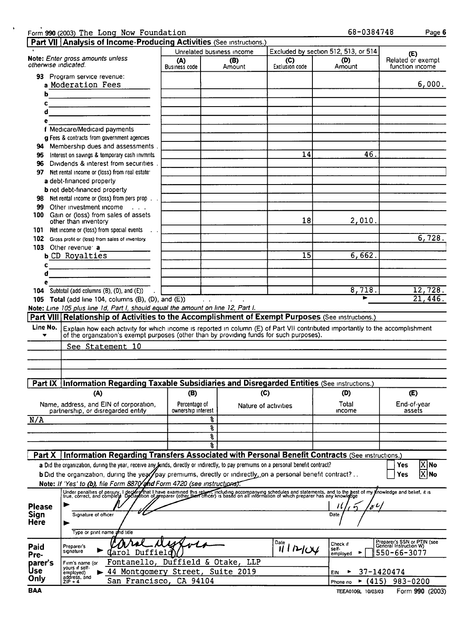|                      | Form 990 (2003) The Long Now Foundation<br>Part VII Analysis of Income-Producing Activities (See Instructions.)                                                                                                                                |                                     |                            |                         | 68-0384748                           | Page 6                                                |
|----------------------|------------------------------------------------------------------------------------------------------------------------------------------------------------------------------------------------------------------------------------------------|-------------------------------------|----------------------------|-------------------------|--------------------------------------|-------------------------------------------------------|
|                      |                                                                                                                                                                                                                                                |                                     | Unrelated business income  |                         | Excluded by section 512, 513, or 514 |                                                       |
| otherwise indicated. | Note: Enter gross amounts unless                                                                                                                                                                                                               | (A)<br><b>Business code</b>         | (B)<br>Amount              | (C)<br>Exclusion code   | (D)<br>Amount                        | (E)<br>Related or exempt<br>function income           |
|                      | 93 Program service revenue:<br>a Moderation Fees                                                                                                                                                                                               |                                     |                            |                         |                                      | 6,000.                                                |
| b                    | <u> 1989 - Johann Barbara, mart</u>                                                                                                                                                                                                            |                                     |                            |                         |                                      |                                                       |
| c                    | <u> 1980 - Jan Stein Bernstein, fransk kampens og det blev forskellige og det blev forskellige og det blev forskellige og det blev forskellige og det blev forskellige og det blev forskellige og det blev forskellige og det bl</u>           |                                     |                            |                         |                                      |                                                       |
| d                    |                                                                                                                                                                                                                                                |                                     |                            |                         |                                      |                                                       |
| е                    |                                                                                                                                                                                                                                                |                                     |                            |                         |                                      |                                                       |
|                      | f Medicare/Medicaid payments                                                                                                                                                                                                                   |                                     |                            |                         |                                      |                                                       |
|                      | g Fees & contracts from government agencies                                                                                                                                                                                                    |                                     |                            |                         |                                      |                                                       |
| 94                   | Membership dues and assessments.                                                                                                                                                                                                               |                                     |                            |                         |                                      |                                                       |
| 95                   | Interest on savings & temporary cash invmnts                                                                                                                                                                                                   |                                     |                            | 14                      | 46.                                  |                                                       |
| 96                   | Dividends & interest from securities.                                                                                                                                                                                                          |                                     |                            |                         |                                      |                                                       |
|                      | 97 Net rental income or (loss) from real estate                                                                                                                                                                                                |                                     |                            |                         |                                      |                                                       |
|                      | a debt-financed property                                                                                                                                                                                                                       |                                     |                            |                         |                                      |                                                       |
|                      | <b>b</b> not debt-financed property                                                                                                                                                                                                            |                                     |                            |                         |                                      |                                                       |
| 98                   | Net rental income or (loss) from pers prop                                                                                                                                                                                                     |                                     |                            |                         |                                      |                                                       |
| 99                   | Other investment income<br>$\sim 100$ km s $^{-1}$                                                                                                                                                                                             |                                     |                            |                         |                                      |                                                       |
| 100                  | Gain or (loss) from sales of assets<br>other than inventory                                                                                                                                                                                    |                                     |                            | 18                      | 2,010.                               |                                                       |
| 101                  | Net income or (loss) from special events                                                                                                                                                                                                       |                                     |                            |                         |                                      |                                                       |
| 102                  | Gross profit or (loss) from sales of inventory.                                                                                                                                                                                                |                                     |                            |                         |                                      | 6,728.                                                |
|                      | 103 Other revenue: a                                                                                                                                                                                                                           |                                     |                            |                         |                                      |                                                       |
|                      | <b>b CD Royalties</b>                                                                                                                                                                                                                          |                                     |                            | $\overline{15}$         | 6,662.                               |                                                       |
| c                    |                                                                                                                                                                                                                                                |                                     |                            |                         |                                      |                                                       |
| d                    |                                                                                                                                                                                                                                                |                                     |                            |                         |                                      |                                                       |
| e                    |                                                                                                                                                                                                                                                |                                     |                            |                         |                                      |                                                       |
| 104                  | Subtotal (add columns (B), (D), and (E))                                                                                                                                                                                                       |                                     |                            |                         | 8,718.                               | 12,728.                                               |
|                      | 105 Total (add line 104, columns (B), (D), and (E))<br>Note: Line 105 plus line 1d, Part I, should equal the amount on line 12, Part I.                                                                                                        |                                     | $\mathcal{L}^{\text{max}}$ |                         | ь                                    | 21,446.                                               |
| Line No.<br>▼        | Explain how each activity for which income is reported in column (E) of Part VII contributed importantly to the accomplishment<br>of the organization's exempt purposes (other than by providing funds for such purposes).<br>See Statement 10 |                                     |                            |                         |                                      |                                                       |
|                      | Information Regarding Taxable Subsidiaries and Disregarded Entities (See Instructions.)                                                                                                                                                        |                                     |                            |                         |                                      |                                                       |
| Part IX              |                                                                                                                                                                                                                                                |                                     |                            |                         |                                      |                                                       |
|                      | (A)                                                                                                                                                                                                                                            | (B)                                 |                            | (C)                     | (D)                                  | (E)                                                   |
|                      | Name, address, and EIN of corporation,<br>partnership, or disregarded entity                                                                                                                                                                   | Percentage of<br>ownership interest | Nature of activities       |                         | Total<br>income                      | End-of-year<br>assets                                 |
| N/A                  |                                                                                                                                                                                                                                                |                                     | 옹                          |                         |                                      |                                                       |
|                      |                                                                                                                                                                                                                                                |                                     | g                          |                         |                                      |                                                       |
|                      |                                                                                                                                                                                                                                                |                                     | ş                          |                         |                                      |                                                       |
|                      |                                                                                                                                                                                                                                                |                                     | ዱ                          |                         |                                      |                                                       |
| Part X               | Information Regarding Transfers Associated with Personal Benefit Contracts (See instructions.)                                                                                                                                                 |                                     |                            |                         |                                      |                                                       |
|                      | a Did the organization, during the year, receive any junds, directly or indirectly, to pay premiums on a personal benefit contract?                                                                                                            |                                     |                            |                         |                                      | $ X $ No<br>Yes                                       |
|                      | b Did the organization, during the year pay premiums, directly or indirectly, on a personal benefit contract?                                                                                                                                  |                                     |                            |                         |                                      | X No<br>Yes                                           |
|                      | Note: If 'Yes' to (b), file Form 8870/and Form 4720 (see instructions).                                                                                                                                                                        |                                     |                            |                         |                                      |                                                       |
|                      | Under penalties of perjury, I declere that I have examined this return, including accompanying schedules and statements, and to the best of my Knowledge and belief, it is<br>true, correct, and complete Declaption of greparer               |                                     |                            |                         |                                      |                                                       |
| <b>Please</b>        |                                                                                                                                                                                                                                                |                                     |                            |                         | p L                                  |                                                       |
| Sign                 | Signature of officer                                                                                                                                                                                                                           |                                     |                            |                         | Date                                 |                                                       |
| <b>Here</b>          |                                                                                                                                                                                                                                                |                                     |                            |                         |                                      |                                                       |
|                      | Type or print name and title                                                                                                                                                                                                                   |                                     |                            |                         |                                      |                                                       |
| Paid                 | Preparer's                                                                                                                                                                                                                                     |                                     |                            | Date                    | Check if                             | Preparer's SSN or PTIN (see<br>General Instruction W) |
| Pre-                 | signature<br>arol Duffield                                                                                                                                                                                                                     |                                     |                            | <b><i>III</i></b> I DIW | self-<br>ь<br>employed               | 550-66-3077                                           |
| parer's              | Fontanello,<br>Firm's name (or                                                                                                                                                                                                                 |                                     | Duffield & Otake, LLP      |                         |                                      |                                                       |
| Use                  | yours if self-<br>44 Montgomery Street,<br>employed)                                                                                                                                                                                           |                                     | <b>Suite 2019</b>          |                         | EIN                                  | 37-1420474                                            |
| Only                 | address, and<br>San Francisco,<br>$ZIP + 4$                                                                                                                                                                                                    | CA 94104                            |                            |                         | (415)<br>Phone no                    | 983-0200                                              |
| <b>BAA</b>           |                                                                                                                                                                                                                                                |                                     |                            |                         | TEEA0106L 10/03/03                   | Form 990 (2003)                                       |

----

 $\sim$   $\star$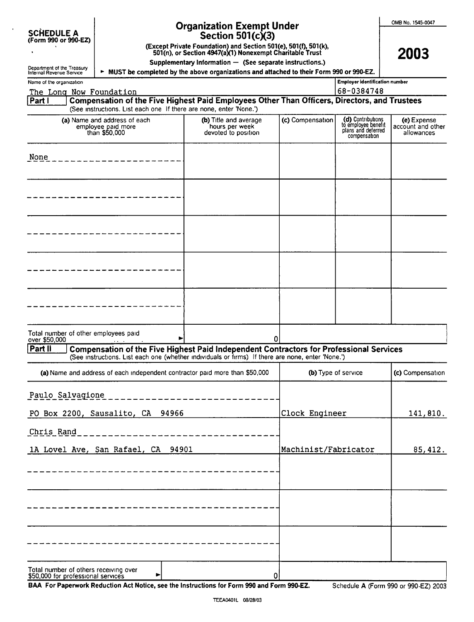|  |  | OMB No. 1545-0047 |
|--|--|-------------------|
|--|--|-------------------|

2003

| SCHEDULE A           |  |  |
|----------------------|--|--|
| (Form 990 or 990-EZ) |  |  |

### Organization Exempt Un Section 501(c)(3) der

(Except Private Foundation) and Section 501(e xcept Private Foundation) and Section 50T(e), 50T(t), 50T(K),<br>501(n), or Section 4947(a)(1) Nonexempt Charitable Trust

Supplementary Information — (See separate instructions.)

> MUST be completed by the above organizations and attach ed to their Form 990 or 990-EZ.

Department of the Treasury<br>Internal Revenue Service Name of the organization

| <b>Employer identification number</b> |
|---------------------------------------|
| 168-0384748                           |

### The Long Now Foundation |Partl <sup>V</sup> (See instructions. List each one If there are none, enter 'None.') Compensation of the Five Highest Paid Employees Other Than Officers, Directors, and Trustees

| (a) Name and address of each<br>employee paid more<br>than \$50,000                      | (b) Title and average<br>hours per week<br>devoted to position | (c) Compensation | (d) Contributions<br>to employee benefit<br>plans and deferred<br>compensation | (e) Expense<br>account and other<br>allowances |
|------------------------------------------------------------------------------------------|----------------------------------------------------------------|------------------|--------------------------------------------------------------------------------|------------------------------------------------|
| None                                                                                     |                                                                |                  |                                                                                |                                                |
|                                                                                          |                                                                |                  |                                                                                |                                                |
|                                                                                          |                                                                |                  |                                                                                |                                                |
|                                                                                          |                                                                |                  |                                                                                |                                                |
|                                                                                          |                                                                |                  |                                                                                |                                                |
| Total number of other employees paid<br>over \$50,000<br>the company of the company<br>é | 0                                                              |                  |                                                                                |                                                |

## **Part II Compensation of the Five Highest Paid Independent Contractors for Professional Services** (See instructions. List each one (whether indiVIduals or firms) If there are none, enter 'None.')

| (a) Name and address of each independent contractor paid more than \$50,000      | (b) Type of service  | (c) Compensation |
|----------------------------------------------------------------------------------|----------------------|------------------|
| Paulo Salvagione                                                                 |                      |                  |
| PO Box 2200, Sausalito, CA 94966                                                 | Clock Engineer       | 141,810.         |
| Chris Rand                                                                       |                      |                  |
| 1A Lovel Ave, San Rafael, CA 94901                                               | Machinist/Fabricator | 85, 412.         |
|                                                                                  |                      |                  |
|                                                                                  |                      |                  |
|                                                                                  |                      |                  |
|                                                                                  |                      |                  |
|                                                                                  |                      |                  |
|                                                                                  |                      |                  |
| Total number of others receiving over<br>\$50,000 for professional services<br>▶ | 0                    |                  |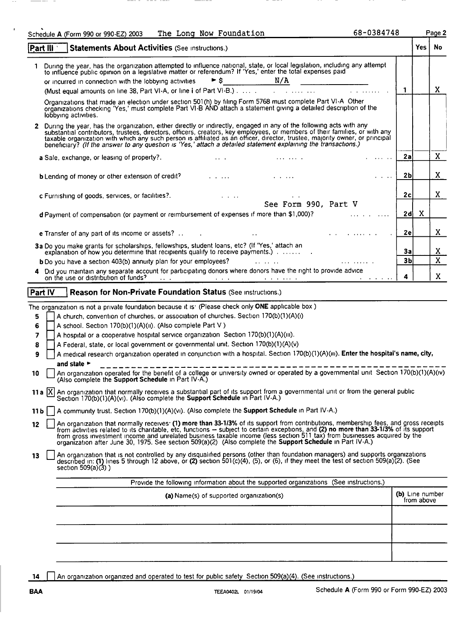| The Long Now Foundation<br>Schedule A (Form 990 or 990-EZ) 2003                                                                                                                                                                                                                                                                                                                                                                                                                            | 68-0384748                                |                         |                 | Page 2       |
|--------------------------------------------------------------------------------------------------------------------------------------------------------------------------------------------------------------------------------------------------------------------------------------------------------------------------------------------------------------------------------------------------------------------------------------------------------------------------------------------|-------------------------------------------|-------------------------|-----------------|--------------|
| Part III<br>Statements About Activities (See Instructions.)                                                                                                                                                                                                                                                                                                                                                                                                                                |                                           |                         | <b>Yes</b>   No |              |
| During the year, has the organization attempted to influence national, state, or local legislation, including any attempt<br>to influence public opinion on a legislative matter or referendum? If 'Yes,' enter the total expenses paid                                                                                                                                                                                                                                                    |                                           |                         |                 |              |
|                                                                                                                                                                                                                                                                                                                                                                                                                                                                                            |                                           |                         |                 |              |
|                                                                                                                                                                                                                                                                                                                                                                                                                                                                                            |                                           | l 1                     |                 | X            |
| Organizations that made an election under section 501(h) by filing Form 5768 must complete Part VI-A Other<br>organizations checking 'Yes,' must complete Part VI-B AND attach a statement giving a detailed description of the<br>lobbying activities.                                                                                                                                                                                                                                    |                                           |                         |                 |              |
| 2 During the year, has the organization, either directly or indirectly, engaged in any of the following acts with any<br>substantial contributors, trustees, directors, officers, creators, key employees, or members of their families, or with any taxable organization with which any such person is affiliated as an officer, director, trustee, ma<br>beneficiary? (If the answer to any question is 'Yes,' attach a detailed statement explaining the transactions.)                 |                                           |                         |                 |              |
| a Sale, exchange, or leasing of property?. The contract of the contract of the contract of the contract of the contract of the contract of the contract of the contract of the contract of the contract of the contract of the                                                                                                                                                                                                                                                             | <b>Service Control</b>                    | 2a                      |                 | $\mathbf{X}$ |
| <b>b</b> Lending of money or other extension of credit?<br>and the contract of the contract of the contract of the contract of the contract of the contract of the contract of the contract of the contract of the contract of the co                                                                                                                                                                                                                                                      | $\alpha$ , $\alpha$ , $\alpha$ , $\alpha$ | 2 <sub>b</sub>          |                 | X            |
| $\mathcal{L}^{\text{max}}_{\text{max}}$ and $\mathcal{L}^{\text{max}}_{\text{max}}$<br>$\label{eq:2} \frac{1}{\sqrt{2}}\int_{0}^{\frac{1}{2}}\frac{1}{\sqrt{2}}\left(\frac{1}{\sqrt{2}}\right)^{2}dx\,dx$<br>c Furnishing of goods, services, or facilities?.                                                                                                                                                                                                                              |                                           | 2c                      |                 | X            |
| See Form 990, Part V                                                                                                                                                                                                                                                                                                                                                                                                                                                                       |                                           |                         |                 |              |
| d Payment of compensation (or payment or reimbursement of expenses if more than \$1,000)? [11] [11] Comparent of compensation (or payment or reimbursement of expenses if more than \$1,000)?                                                                                                                                                                                                                                                                                              |                                           | 2d                      | X               |              |
| $\mathcal{L}^{\mathcal{L}}$ and $\mathcal{L}^{\mathcal{L}}$ are the set of the set of the set of the set of $\mathcal{L}^{\mathcal{L}}$                                                                                                                                                                                                                                                                                                                                                    |                                           | 2e                      |                 | X            |
| 3a Do you make grants for scholarships, fellowships, student loans, etc? (If 'Yes,' attach an<br>Do you make grants for scholarships, fellowships, student loans, etc? (If 'Yes,' attach an<br>explanation of how you determine that recipients qualify to receive payments.)                                                                                                                                                                                                              |                                           | 3a                      |                 | X            |
| <b>b</b> Do you have a section 403(b) annuity plan for your employees? <b>Example 10</b> is a control                                                                                                                                                                                                                                                                                                                                                                                      |                                           | 3 <sub>b</sub>          |                 | $\mathbf{x}$ |
| 4 Did you maintain any separate account for participating donors where donors have the right to provide advice                                                                                                                                                                                                                                                                                                                                                                             |                                           |                         |                 |              |
| on the use or distribution of funds?                                                                                                                                                                                                                                                                                                                                                                                                                                                       |                                           | $\overline{\mathbf{4}}$ |                 | X            |
| Part IV<br>Reason for Non-Private Foundation Status (See Instructions.)                                                                                                                                                                                                                                                                                                                                                                                                                    |                                           |                         |                 |              |
| The organization is not a private foundation because it is: (Please check only ONE applicable box)                                                                                                                                                                                                                                                                                                                                                                                         |                                           |                         |                 |              |
| A church, convention of churches, or association of churches. Section 170(b)(1)(A)(i)<br>5                                                                                                                                                                                                                                                                                                                                                                                                 |                                           |                         |                 |              |
| 6<br>A school. Section 170(b)(1)(A)(ii). (Also complete Part V)                                                                                                                                                                                                                                                                                                                                                                                                                            |                                           |                         |                 |              |
| 7<br>A hospital or a cooperative hospital service organization Section 170(b)(1)(A)(iii).                                                                                                                                                                                                                                                                                                                                                                                                  |                                           |                         |                 |              |
| A Federal, state, or local government or governmental unit. Section 170(b)(1)(A)(v)<br>8                                                                                                                                                                                                                                                                                                                                                                                                   |                                           |                         |                 |              |
| A medical research organization operated in conjunction with a hospital. Section 170(b)(1)(A)(iii). Enter the hospital's name, city,<br>9                                                                                                                                                                                                                                                                                                                                                  |                                           |                         |                 |              |
| and state $\blacktriangleright$                                                                                                                                                                                                                                                                                                                                                                                                                                                            |                                           |                         |                 |              |
| An organization operated for the benefit of a college or university owned or operated by a governmental unit Section 170(b)(1)(A)(iv)<br>10<br>(Also complete the Support Schedule in Part IV-A.)                                                                                                                                                                                                                                                                                          |                                           |                         |                 |              |
| 11 a  X  An organization that normally receives a substantial part of its support from a governmental unit or from the general public<br>Section 170(b)(1)(A)(vi). (Also complete the <b>Support Schedule</b> in Part IV-A.)                                                                                                                                                                                                                                                               |                                           |                         |                 |              |
| A community trust. Section 170(b)(1)(A)(vi). (Also complete the Support Schedule in Part IV-A.)<br>$11b$                                                                                                                                                                                                                                                                                                                                                                                   |                                           |                         |                 |              |
| An organization that normally receives: (1) more than 33-1/3% of its support from contributions, membership fees, and gross receipts<br>12<br>from activities related to its charitable, etc. functions - subject to certain exceptions, and (2) no more than 33-1/3% of its support from gross investment income and unrelated business taxable income (less section 511 ta<br>organization after June 30, 1975. See section 509(a)(2) (Also complete the Support Schedule in Part IV-A.) |                                           |                         |                 |              |
| An organization that is not controlled by any disqualified persons (other than foundation managers) and supports organizations<br>13<br>described in: (1) lines 5 through 12 above, or (2) section 501(c)(4), (5), or (6), if they meet the test of section 509(a)(2). (See<br>section $509(a)(3)$ )                                                                                                                                                                                       |                                           |                         |                 |              |
| Provide the following information about the supported organizations (See instructions.)                                                                                                                                                                                                                                                                                                                                                                                                    |                                           |                         |                 |              |
| (a) Name(s) of supported organization(s)                                                                                                                                                                                                                                                                                                                                                                                                                                                   |                                           | (b) Line number         | from above      |              |
|                                                                                                                                                                                                                                                                                                                                                                                                                                                                                            |                                           |                         |                 |              |
|                                                                                                                                                                                                                                                                                                                                                                                                                                                                                            |                                           |                         |                 |              |
|                                                                                                                                                                                                                                                                                                                                                                                                                                                                                            |                                           |                         |                 |              |
|                                                                                                                                                                                                                                                                                                                                                                                                                                                                                            |                                           |                         |                 |              |

14 An organization organized and operated to test for public safety Section 509(a)(4). (See instructions.)

 $\ddot{\phantom{1}}$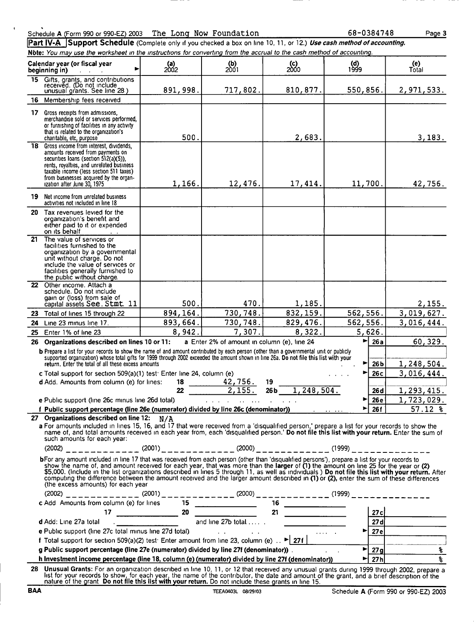| Schedule A (Form 990 or 990-EZ) 2003 The Long Now Foundation |  |  |
|--------------------------------------------------------------|--|--|
|                                                              |  |  |

68-0384748

Page 3

Part IV-A Support Schedule (Complete only if you checked a box on line 10, 11, or 12.) Use cash method of accounting. Note: You may use the worksheet in the instructions for converting from the accrual to the cash method of accounting.

|     | Calendar year (or fiscal year<br>▶<br>beginning in)<br>and the control of                                                                                                                                                                                                                                                                                                                                                                                                                                                                                            | $\begin{array}{c} \textbf{(a)} \\ \textbf{2002} \end{array}$ | $\binom{b}{2001}$                           | $($ c $)$<br>2000         | $\begin{array}{c} \n 1999 \n \end{array}$ | (e)<br>Total              |
|-----|----------------------------------------------------------------------------------------------------------------------------------------------------------------------------------------------------------------------------------------------------------------------------------------------------------------------------------------------------------------------------------------------------------------------------------------------------------------------------------------------------------------------------------------------------------------------|--------------------------------------------------------------|---------------------------------------------|---------------------------|-------------------------------------------|---------------------------|
| 15  | Gifts, grants, and contributions<br>received. (Do not include<br>unusual grants. See line 28 )                                                                                                                                                                                                                                                                                                                                                                                                                                                                       | 891,998.                                                     | 717,802.                                    | 810,877.                  | 550,856.                                  | 2,971,533.                |
| 16  | Membership fees received                                                                                                                                                                                                                                                                                                                                                                                                                                                                                                                                             |                                                              |                                             |                           |                                           |                           |
| 17  | Gross receipts from admissions,<br>merchandise sold or services performed.<br>or furnishing of facilities in any activity<br>that is related to the organization's<br>charitable, etc, purpose                                                                                                                                                                                                                                                                                                                                                                       | 500.                                                         |                                             | 2,683.                    |                                           | 3,183.                    |
| 18. | Gross income from interest, dividends,<br>amounts received from payments on<br>securities loans (section 512(a)(5)),<br>rents, royalties, and unrelated business<br>taxable income (less section 511 taxes)<br>from businesses acquired by the organ-<br>ization after June 30, 1975                                                                                                                                                                                                                                                                                 | 1,166.                                                       | 12,476.                                     | 17,414.                   | 11,700.                                   | 42,756.                   |
| 19  | Net income from unrelated business<br>activities not included in line 18                                                                                                                                                                                                                                                                                                                                                                                                                                                                                             |                                                              |                                             |                           |                                           |                           |
|     | 20 Tax revenues levied for the<br>organization's benefit and<br>either paid to it or expended<br>on its behalf                                                                                                                                                                                                                                                                                                                                                                                                                                                       |                                                              |                                             |                           |                                           |                           |
|     | 21 The value of services or<br>facilities furnished to the<br>organization by a governmental<br>unit without charge. Do not<br>include the value of services or<br>facilities generally furnished to<br>the public without charge.                                                                                                                                                                                                                                                                                                                                   |                                                              |                                             |                           |                                           |                           |
|     | 22 Other income. Attach a<br>schedule. Do not include<br>gain or (loss) from sale of<br>capital assets See. Stmt. 11                                                                                                                                                                                                                                                                                                                                                                                                                                                 | 500.                                                         | 470.                                        | 1,185.                    |                                           | 2,155.                    |
| 23  | Total of lines 15 through 22                                                                                                                                                                                                                                                                                                                                                                                                                                                                                                                                         | 894, 164.                                                    | 730,748.                                    | 832, 159.                 | 562,556.                                  | 3,019,627.                |
| 24  | Line 23 minus line 17.                                                                                                                                                                                                                                                                                                                                                                                                                                                                                                                                               | 893,664.                                                     | 730,748.                                    | 829, 476.                 | 562, 556.                                 | 3,016,444.                |
| 25  | Enter 1% of line 23                                                                                                                                                                                                                                                                                                                                                                                                                                                                                                                                                  | 8,942                                                        | 7,307.                                      | 8,322.                    | 5,626.                                    |                           |
| 26  | Organizations described on lines 10 or 11:                                                                                                                                                                                                                                                                                                                                                                                                                                                                                                                           |                                                              | a Enter 2% of amount in column (e), line 24 |                           | ►∣<br>26a                                 | 60,329.                   |
|     | b Prepare a list for your records to show the name of and amount contributed by each person (other than a governmental unit or publicly<br>supported organization) whose total gifts for 1999 through 2002 exceeded the amount shown in line 26a. Do not file this list with your<br>return. Enter the total of all these excess amounts                                                                                                                                                                                                                             |                                                              |                                             |                           | ▶<br>26 <sub>b</sub>                      | 1,248,504.                |
|     | c Total support for section 509(a)(1) test: Enter line 24, column (e)                                                                                                                                                                                                                                                                                                                                                                                                                                                                                                |                                                              |                                             |                           | 26с<br>►                                  | 3,016,444.                |
|     | d Add. Amounts from column (e) for lines:                                                                                                                                                                                                                                                                                                                                                                                                                                                                                                                            | 18<br>22                                                     | $\frac{42,756}{2,155}$                      | 19<br>1, 248, 504.<br>26b |                                           |                           |
|     | e Public support (line 26c minus line 26d total)                                                                                                                                                                                                                                                                                                                                                                                                                                                                                                                     |                                                              | and a strategic and a strategic             |                           | 26 <sub>d</sub><br>26 <sub>e</sub><br>▶   | 1,293,415.<br>1,723,029.  |
|     | f Public support percentage (line 26e (numerator) divided by line 26c (denominator)) [1999] [1999] [1999] [199                                                                                                                                                                                                                                                                                                                                                                                                                                                       |                                                              |                                             |                           | $\blacktriangleright$ 26f                 | $57.12*$                  |
|     | 27 Organizations described on line 12: N/A                                                                                                                                                                                                                                                                                                                                                                                                                                                                                                                           |                                                              |                                             |                           |                                           |                           |
|     | a For amounts included in lines 15, 16, and 17 that were received from a 'disqualified person,' prepare a list for your records to show the<br>name of, and total amounts received in each year from, each 'disqualified person.' Do not file this list with your return. Enter the sum of<br>such amounts for each year:                                                                                                                                                                                                                                            |                                                              |                                             |                           |                                           |                           |
|     | $(2002)$ ______________(2001)____________(2000)___________(1999)_________________                                                                                                                                                                                                                                                                                                                                                                                                                                                                                    |                                                              |                                             |                           |                                           |                           |
|     | bFor any amount included in line 17 that was received from each person (other than 'disqualified persons'), prepare a list for your records to<br>show the name of, and amount received for each year, that was more than the larger of (1) the amount on line 25 for the year or (2)<br>\$5,000. (include in the list organizations described in lines 5 through 11, as well as ind<br>computing the difference between the amount received and the larger amount described in (1) or (2), enter the sum of these differences<br>(the excess amounts) for each year |                                                              |                                             |                           |                                           |                           |
|     | (2002) ______________(2001) _ _ _ _ _ _ _ _ _ (2000) _ _ _ _ _ _ _ _ _ _ _ (1999) _ _ _ _ _ _ _ _ _ _ _ _                                                                                                                                                                                                                                                                                                                                                                                                                                                            |                                                              |                                             |                           |                                           |                           |
|     |                                                                                                                                                                                                                                                                                                                                                                                                                                                                                                                                                                      |                                                              |                                             |                           |                                           |                           |
|     |                                                                                                                                                                                                                                                                                                                                                                                                                                                                                                                                                                      |                                                              |                                             |                           |                                           | 27c                       |
|     |                                                                                                                                                                                                                                                                                                                                                                                                                                                                                                                                                                      |                                                              |                                             |                           | $\sim$ 1444 $\sim$ 45 $\sim$ 0.000 $\sim$ | 27d                       |
|     | e Public support (line 27c total minus line 27d total)<br>f Total support for section 509(a)(2) test: Enter amount from line 23, column (e) . $\blacktriangleright$ 27f                                                                                                                                                                                                                                                                                                                                                                                              |                                                              |                                             |                           |                                           | $\blacktriangleright$ 27e |
|     | g Public support percentage (line 27e (numerator) divided by line 27f (denominator)).                                                                                                                                                                                                                                                                                                                                                                                                                                                                                |                                                              |                                             |                           | न                                         | $\epsilon$<br>27g         |
|     | h Investment income percentage (line 18, column (e) (numerator) divided by line 27f (denominator))                                                                                                                                                                                                                                                                                                                                                                                                                                                                   |                                                              |                                             |                           | 27 <sub>h</sub><br>$\blacktriangleright$  | $\overline{\mathbf{r}}$   |
|     | 28 Unusual Grants: For an organization described in line 10, 11, or 12 that received any unusual grants during 1999 through 2002, prepare a<br>list for your records to show, for each year, the name of the contributor, the date and amount of the grant, and a brief description of the<br>nature of the grant Do not file this list with your return. Do not include these grants in line 15.                                                                                                                                                                    |                                                              |                                             |                           |                                           |                           |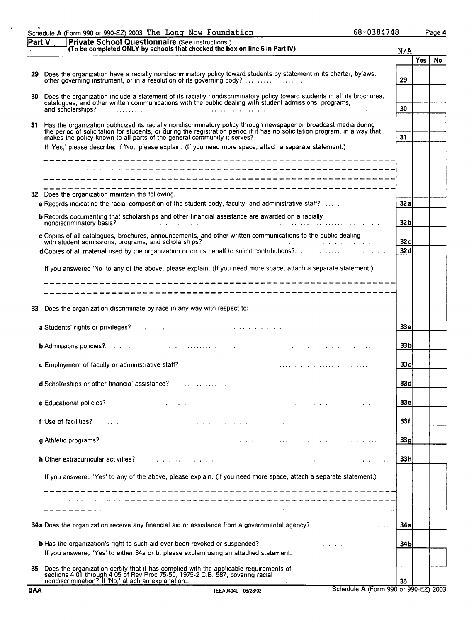| Part V | <b>Private School Questionnaire</b> (See instructions)<br>(To be completed ONLY by schools that checked the box on line 6 in Part IV)                                                                                                                                                                                                                                                                                                                                                                 | N/A             |            |    |
|--------|-------------------------------------------------------------------------------------------------------------------------------------------------------------------------------------------------------------------------------------------------------------------------------------------------------------------------------------------------------------------------------------------------------------------------------------------------------------------------------------------------------|-----------------|------------|----|
|        |                                                                                                                                                                                                                                                                                                                                                                                                                                                                                                       |                 | <b>Yes</b> | No |
| 29     | Does the organization have a racially nondiscriminatory policy toward students by statement in its charter, bylaws,<br>other governing instrument, or in a resolution of its governing body?                                                                                                                                                                                                                                                                                                          | 29              |            |    |
| 30     | Does the organization include a statement of its racially nondiscriminatory policy toward students in all its brochures,<br>catalogues, and other written communications with the public dealing with student admissions, programs,<br>and scholarships?<br>$\mathcal{L}^{\text{max}}$ . The contract of the contract of the contract of the contract of the contract of the contract of the contract of the contract of the contract of the contract of the contract of the contract of the contract | 30              |            |    |
| 31     | Has the organization publicized its racially nondiscriminatory policy through newspaper or broadcast media during<br>the period of solicitation for students, or during the registration period if it has no solicitation program, in a way that<br>makes the policy known to all parts of the general community it serves?                                                                                                                                                                           | 31              |            |    |
|        | If 'Yes,' please describe; if 'No,' please explain. (If you need more space, attach a separate statement.)                                                                                                                                                                                                                                                                                                                                                                                            |                 |            |    |
|        |                                                                                                                                                                                                                                                                                                                                                                                                                                                                                                       |                 |            |    |
|        | 32 Does the organization maintain the following.<br>a Records indicating the racial composition of the student body, faculty, and administrative staff?                                                                                                                                                                                                                                                                                                                                               | 32a             |            |    |
|        | <b>b</b> Records documenting that scholarships and other financial assistance are awarded on a racially<br>nondiscriminatory basis?<br>$\mathcal{L}^{\mathcal{L}}$ and $\mathcal{L}^{\mathcal{L}}$ are the set of the set of $\mathcal{L}^{\mathcal{L}}$                                                                                                                                                                                                                                              | 32 <sub>b</sub> |            |    |
|        | c Copies of all catalogues, brochures, announcements, and other written communications to the public dealing<br>with student admissions, programs, and scholarships?<br>the control of the state of the state                                                                                                                                                                                                                                                                                         | 32c             |            |    |
|        | d Copies of all material used by the organization or on its behalf to solicit contributions?.                                                                                                                                                                                                                                                                                                                                                                                                         | 32 d            |            |    |
| 33     | If you answered 'No' to any of the above, please explain. (If you need more space, attach a separate statement.)<br>Does the organization discriminate by race in any way with respect to:                                                                                                                                                                                                                                                                                                            |                 |            |    |
|        | <b>a</b> Students' rights or privileges? A Contract the Contract of the Students' rights or privileges?                                                                                                                                                                                                                                                                                                                                                                                               | 33 a            |            |    |
|        |                                                                                                                                                                                                                                                                                                                                                                                                                                                                                                       | 33 <sub>b</sub> |            |    |
|        | c Employment of faculty or administrative staff?                                                                                                                                                                                                                                                                                                                                                                                                                                                      | 33c             |            |    |
|        | <b>d</b> Scholarships or other financial assistance? $\ldots$ $\ldots$ $\ldots$ $\ldots$                                                                                                                                                                                                                                                                                                                                                                                                              | 33d             |            |    |
|        | e Educational policies?<br>$\cdots$                                                                                                                                                                                                                                                                                                                                                                                                                                                                   | 33 e            |            |    |
|        | f Use of facilities?                                                                                                                                                                                                                                                                                                                                                                                                                                                                                  | 33 f            |            |    |
|        | <b>g</b> Athletic programs?                                                                                                                                                                                                                                                                                                                                                                                                                                                                           | 33g             |            |    |
|        | h Other extracurricular activities?<br>and a state of a state of<br>$\sim$ $\sim$ $\sim$ $\sim$                                                                                                                                                                                                                                                                                                                                                                                                       | 33h             |            |    |
|        | If you answered 'Yes' to any of the above, please explain. (If you need more space, attach a separate statement.)                                                                                                                                                                                                                                                                                                                                                                                     |                 |            |    |
|        | 34a Does the organization receive any financial aid or assistance from a governmental agency?                                                                                                                                                                                                                                                                                                                                                                                                         | 34 a            |            |    |
|        | <b>b</b> Has the organization's right to such aid ever been revoked or suspended?<br>If you answered 'Yes' to either 34a or b, please explain using an attached statement.                                                                                                                                                                                                                                                                                                                            | 34 b            |            |    |
| 35     | Does the organization certify that it has complied with the applicable requirements of sections 4.01 through 4.05 of Rev Proc 75-50, 1975-2 C.B. 587, covering racial<br>nondiscrimination? If 'No,' attach an explanation                                                                                                                                                                                                                                                                            | 35              |            |    |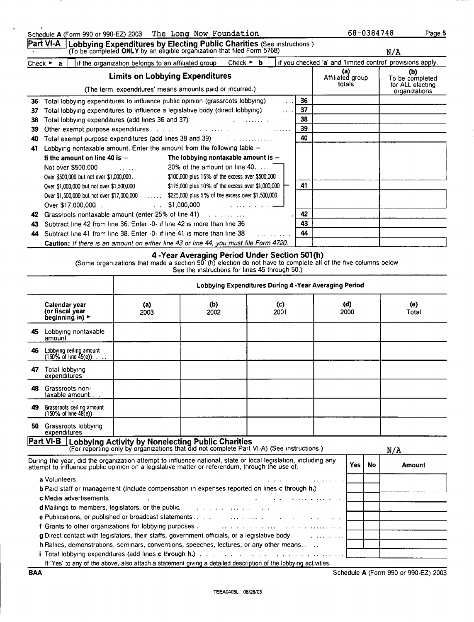|    |                                                                                              | <b>Limits on Lobbying Expenditures</b> |                                                           |                                                | (a)<br>Affiliated group<br>totals                      | (D)<br>To be completed<br>for ALL electing |
|----|----------------------------------------------------------------------------------------------|----------------------------------------|-----------------------------------------------------------|------------------------------------------------|--------------------------------------------------------|--------------------------------------------|
|    |                                                                                              |                                        | (The term 'expenditures' means amounts paid or incurred.) |                                                |                                                        | organizations                              |
| 36 | Total lobbying expenditures to influence public opinion (grassroots lobbying)                |                                        |                                                           |                                                | 36                                                     |                                            |
| 37 | Total lobbying expenditures to influence a legislative body (direct lobbying).               |                                        |                                                           | $\mathbf{r}$ , $\mathbf{r}$ , $\mathbf{r}$     | 37                                                     |                                            |
| 38 | Total lobbying expenditures (add lines 36 and 37).                                           |                                        |                                                           | $\mathbf{r}$ . The second part of $\mathbf{r}$ | 38                                                     |                                            |
| 39 |                                                                                              |                                        |                                                           | <b>Service</b>                                 | 39                                                     |                                            |
| 40 | Total exempt purpose expenditures (add lines 38 and 39)                                      |                                        | .                                                         |                                                | 40                                                     |                                            |
| 41 | Lobbying nontaxable amount. Enter the amount from the following table $-$                    |                                        |                                                           |                                                |                                                        |                                            |
|    | If the amount on line 40 is $-$                                                              |                                        | The lobbying nontaxable amount is $-$                     |                                                |                                                        |                                            |
|    | Not over \$500,000                                                                           | $\cdots$                               | 20% of the amount on line 40.                             |                                                |                                                        |                                            |
|    | Over \$500,000 but not over \$1,000,000.                                                     |                                        | \$100,000 plus 15% of the excess over \$500,000           |                                                |                                                        |                                            |
|    | Over \$1,000,000 but not over \$1,500,000                                                    |                                        | \$175,000 plus 10% of the excess over \$1,000,000         |                                                | 41                                                     |                                            |
|    | Over \$1,500,000 but not over \$17,000,000  \$225,000 plus 5% of the excess over \$1,500,000 |                                        |                                                           |                                                |                                                        |                                            |
|    | Over \$17,000,000.                                                                           | $\mathbf{L}$                           | \$1,000,000                                               |                                                |                                                        |                                            |
| 42 | Grassroots nontaxable amount (enter 25% of line 41)                                          |                                        |                                                           |                                                | 42                                                     |                                            |
| 43 | Subtract line 42 from line 36. Enter -0- if line 42 is more than line 36                     |                                        |                                                           |                                                | 43                                                     |                                            |
| 44 | Subtract line 41 from line 38. Enter -0- if line 41 is more than line 38                     |                                        |                                                           | $\cdots$                                       | 44                                                     |                                            |
|    | Caution: If there is an amount on either line 43 or line 44, you must file Form 4720.        |                                        |                                                           |                                                |                                                        |                                            |
|    |                                                                                              |                                        | See the instructions for lines 45 through 50.)            |                                                | Lobbying Expenditures During 4 - Year Averaging Period |                                            |
|    | Calendar year<br>(or fiscal year                                                             | (a)<br>2003                            | (b)<br>2002                                               | (c)<br>2001                                    | (d)<br>2000                                            | (e)<br>Total                               |
|    | beginning in) ►                                                                              |                                        |                                                           |                                                |                                                        |                                            |
|    | 45 Lobbying nontaxable<br>amount                                                             |                                        |                                                           |                                                |                                                        |                                            |
| 46 | Lobbying ceiling amount<br>$(150\% \text{ of line } 45(e))$                                  |                                        |                                                           |                                                |                                                        |                                            |
|    | 47 Total lobbying<br>expenditures                                                            |                                        |                                                           |                                                |                                                        |                                            |
| 48 | Grassroots non-<br>taxable amount                                                            |                                        |                                                           |                                                |                                                        |                                            |
|    | 49 Grassroots ceiling amount<br>$(150\% \text{ of line } 48(e))$                             |                                        |                                                           |                                                |                                                        |                                            |
|    | 50 Grassroots lobbying                                                                       |                                        |                                                           |                                                |                                                        |                                            |

## Schedule A (Form <sup>990</sup> or 990-EZ) <sup>2003</sup> The Long Now Foundation

<u>Part VI-A I</u>Lobbying Expenditures by Electing Public Charities (See instructions )<br>To be completed ONLY by an eligible organization that filed Form 5768)

Check  $\triangleright$  a  $\blacksquare$  if the organization belongs to an affiliated group N/A Check  $\triangleright$  b  $\blacksquare$  if you checked 'a' and 'limited control' provisions apply.

| 50.<br>Grassroots loppying<br>expenditures                                                                                                                                                                                     |                                                                                           |                                   |       |           |        |
|--------------------------------------------------------------------------------------------------------------------------------------------------------------------------------------------------------------------------------|-------------------------------------------------------------------------------------------|-----------------------------------|-------|-----------|--------|
| Part VI-B   Lobbying Activity by Nonelecting Public Charities                                                                                                                                                                  | (For reporting only by organizations that did not complete Part VI-A) (See instructions.) |                                   |       |           | N/A    |
| During the year, did the organization attempt to influence national, state or local legislation, including any<br>attempt to influence public opinion on a legislative matter or referendum, through the use of.               |                                                                                           |                                   | Yes l | <b>No</b> | Amount |
| a Volunteers                                                                                                                                                                                                                   |                                                                                           | and a series of the series of the |       |           |        |
| <b>b</b> Paid staff or management (Include compensation in expenses reported on lines c through h.)                                                                                                                            |                                                                                           |                                   |       |           |        |
| c Media advertisements.                                                                                                                                                                                                        |                                                                                           |                                   |       |           |        |
| <b>d</b> Mailings to members, legislators, or the public $\cdots$ , $\cdots$ , $\cdots$ , $\cdots$                                                                                                                             |                                                                                           |                                   |       |           |        |
|                                                                                                                                                                                                                                |                                                                                           | $\sim$ $\sim$                     |       |           |        |
| f Grants to other organizations for lobbying purposes . The substitution of the state of the state of the state of the state of the state of the state of the state of the state of the state of the state of the state of the |                                                                                           |                                   |       |           |        |
| <b>g</b> Direct contact with legislators, their staffs, government officials, or a legislative body                                                                                                                            |                                                                                           | <b>Service Control</b>            |       |           |        |
| h Rallies, demonstrations, seminars, conventions, speeches, lectures, or any other means                                                                                                                                       |                                                                                           |                                   |       |           |        |
|                                                                                                                                                                                                                                |                                                                                           |                                   |       |           |        |
| If 'Yes' to any of the above, also attach a statement giving a detailed description of the lobbying activities.                                                                                                                |                                                                                           |                                   |       |           |        |

Schedule A (Form 990 or 990-EZ) 2003

BAA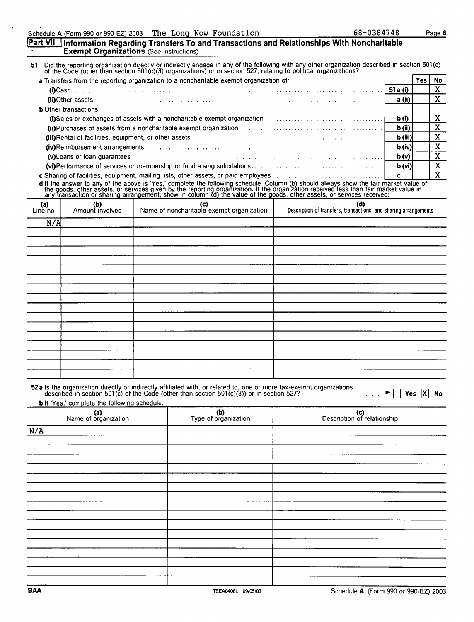| Schedule A (Form 990 or 990-EZ) 2003 The Long Now Foundation |  |  |  |
|--------------------------------------------------------------|--|--|--|
|--------------------------------------------------------------|--|--|--|

 $\ddot{\phantom{1}}$ 

|                | <b>Exempt Organizations</b> (See instructions)        |                                                                                                                 | <b>Part VII J</b> Information Regarding Transfers To and Transactions and Relationships With Noncharitable                                                                                                                                                 |           |              |                |
|----------------|-------------------------------------------------------|-----------------------------------------------------------------------------------------------------------------|------------------------------------------------------------------------------------------------------------------------------------------------------------------------------------------------------------------------------------------------------------|-----------|--------------|----------------|
|                |                                                       |                                                                                                                 | 51 Did the reporting organization directly or indirectly engage in any of the following with any other organization described in section 501(c) of the Code (other than section 501(c) organizations) or in section 527, relat                             |           |              |                |
|                |                                                       | a Transfers from the reporting organization to a noncharitable exempt organization of                           |                                                                                                                                                                                                                                                            |           | <b>Yes</b>   | <b>No</b>      |
|                |                                                       |                                                                                                                 |                                                                                                                                                                                                                                                            | 51 a (i)  |              | $\mathbf{X}$   |
|                | (ii) Other assets .                                   | the contract of the contract of the contract of the contract of the contract of the contract of the contract of | and the company of the company                                                                                                                                                                                                                             | a (ii)    |              | $\overline{X}$ |
|                | <b>b</b> Other transactions:                          |                                                                                                                 |                                                                                                                                                                                                                                                            |           |              |                |
|                |                                                       |                                                                                                                 |                                                                                                                                                                                                                                                            | b(i)      |              | X.             |
|                |                                                       |                                                                                                                 | (ii)Purchases of assets from a noncharitable exempt organization [1] [1] (iii)Purchases of assets from a noncharitable exempt organization [1] [1] $\cdot$ [1] $\cdot$ [1] $\cdot$ [1] $\cdot$ [1] $\cdot$ [1] $\cdot$ [1] $\cdot$ [1] $\cdot$ [1] $\cdot$ | b (ii)    |              | $\overline{X}$ |
|                | (iii)Rental of facilities, equipment, or other assets |                                                                                                                 |                                                                                                                                                                                                                                                            | $b$ (iii) |              | $\mathbf{X}$   |
|                | (iv)Reimbursement arrangements                        | the contract of the contract of the contract of                                                                 |                                                                                                                                                                                                                                                            | b (iv)    |              | $\mathbf x$    |
|                | (v) Loans or loan guarantees                          |                                                                                                                 | and a state of the control of the state of the                                                                                                                                                                                                             | b(v)      |              | $\overline{X}$ |
|                |                                                       |                                                                                                                 |                                                                                                                                                                                                                                                            | b (vi)    |              | $\mathbf{x}$   |
|                |                                                       | c Sharing of facilities, equipment, mailing lists, other assets, or paid employees                              |                                                                                                                                                                                                                                                            | c.        |              | $\overline{X}$ |
|                |                                                       |                                                                                                                 | d If the answer to any of the above is 'Yes,' complete the following schedule Column (b) should always show the fair market value of the goods, other assets, or services given by the reporting organization. If the organiza                             |           |              |                |
| (a)<br>Line no | (b)<br>Amount involved                                | (c)<br>Name of noncharitable exempt organization                                                                | (d)<br>Description of transfers, transactions, and sharing arrangements                                                                                                                                                                                    |           |              |                |
| N/A            |                                                       |                                                                                                                 |                                                                                                                                                                                                                                                            |           |              |                |
|                |                                                       |                                                                                                                 |                                                                                                                                                                                                                                                            |           |              |                |
|                |                                                       |                                                                                                                 |                                                                                                                                                                                                                                                            |           |              |                |
|                |                                                       |                                                                                                                 |                                                                                                                                                                                                                                                            |           |              |                |
|                |                                                       |                                                                                                                 |                                                                                                                                                                                                                                                            |           |              |                |
|                |                                                       |                                                                                                                 |                                                                                                                                                                                                                                                            |           |              |                |
|                |                                                       |                                                                                                                 |                                                                                                                                                                                                                                                            |           |              |                |
|                |                                                       |                                                                                                                 |                                                                                                                                                                                                                                                            |           |              |                |
|                |                                                       |                                                                                                                 |                                                                                                                                                                                                                                                            |           |              |                |
|                |                                                       |                                                                                                                 |                                                                                                                                                                                                                                                            |           |              |                |
|                |                                                       |                                                                                                                 |                                                                                                                                                                                                                                                            |           |              |                |
|                |                                                       |                                                                                                                 |                                                                                                                                                                                                                                                            |           |              |                |
|                |                                                       |                                                                                                                 |                                                                                                                                                                                                                                                            |           |              |                |
|                |                                                       |                                                                                                                 |                                                                                                                                                                                                                                                            |           |              |                |
|                |                                                       |                                                                                                                 |                                                                                                                                                                                                                                                            |           |              |                |
|                |                                                       |                                                                                                                 |                                                                                                                                                                                                                                                            |           |              |                |
|                |                                                       |                                                                                                                 |                                                                                                                                                                                                                                                            |           |              |                |
|                | <b>b</b> If 'Yes,' complete the following schedule.   | described in section 501(c) of the Code (other than section $501(c)(3)$ ) or in section 527?                    | 52a Is the organization directly or indirectly affiliated with, or related to, one or more tax-exempt organizations                                                                                                                                        |           | Yes $ X $ No |                |
|                | (a)<br>Name of organization                           | (b)<br>Type of organization                                                                                     | (c)<br>Description of relationship                                                                                                                                                                                                                         |           |              |                |
| N/A            |                                                       |                                                                                                                 |                                                                                                                                                                                                                                                            |           |              |                |
|                |                                                       |                                                                                                                 |                                                                                                                                                                                                                                                            |           |              |                |
|                |                                                       |                                                                                                                 |                                                                                                                                                                                                                                                            |           |              |                |
|                |                                                       |                                                                                                                 |                                                                                                                                                                                                                                                            |           |              |                |
|                |                                                       |                                                                                                                 |                                                                                                                                                                                                                                                            |           |              |                |
|                |                                                       |                                                                                                                 |                                                                                                                                                                                                                                                            |           |              |                |
|                |                                                       |                                                                                                                 |                                                                                                                                                                                                                                                            |           |              |                |
|                |                                                       |                                                                                                                 |                                                                                                                                                                                                                                                            |           |              |                |
|                |                                                       |                                                                                                                 |                                                                                                                                                                                                                                                            |           |              |                |
|                |                                                       |                                                                                                                 |                                                                                                                                                                                                                                                            |           |              |                |
|                |                                                       |                                                                                                                 |                                                                                                                                                                                                                                                            |           |              |                |
|                |                                                       |                                                                                                                 |                                                                                                                                                                                                                                                            |           |              |                |
|                |                                                       |                                                                                                                 |                                                                                                                                                                                                                                                            |           |              |                |
|                |                                                       |                                                                                                                 |                                                                                                                                                                                                                                                            |           |              |                |
|                |                                                       |                                                                                                                 |                                                                                                                                                                                                                                                            |           |              |                |

68-0384748 Page 6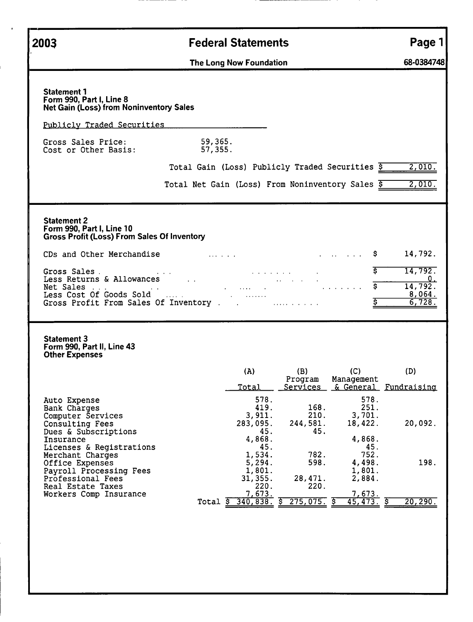| 2003                                                                                                                                              | <b>Federal Statements</b>                                                                                                                                                                                                                          | Page 1                                                              |
|---------------------------------------------------------------------------------------------------------------------------------------------------|----------------------------------------------------------------------------------------------------------------------------------------------------------------------------------------------------------------------------------------------------|---------------------------------------------------------------------|
|                                                                                                                                                   | The Long Now Foundation                                                                                                                                                                                                                            | 68-0384748                                                          |
| <b>Statement 1</b><br>Form 990, Part I, Line 8<br><b>Net Gain (Loss) from Noninventory Sales</b>                                                  |                                                                                                                                                                                                                                                    |                                                                     |
| <u>Publicly Traded Securities</u>                                                                                                                 |                                                                                                                                                                                                                                                    |                                                                     |
| Gross Sales Price:<br>Cost or Other Basis:                                                                                                        | 59,365.<br>57,355.                                                                                                                                                                                                                                 |                                                                     |
|                                                                                                                                                   | Total Gain (Loss) Publicly Traded Securities \$                                                                                                                                                                                                    | 2,010.                                                              |
|                                                                                                                                                   | Total Net Gain (Loss) From Noninventory Sales $\overline{S}$                                                                                                                                                                                       | 2,010.                                                              |
| <b>Statement 2</b><br>Form 990, Part I, Line 10<br><b>Gross Profit (Loss) From Sales Of Inventory</b>                                             |                                                                                                                                                                                                                                                    |                                                                     |
| CDs and Other Merchandise <b>CDs</b> and Other Merchandise                                                                                        | \$.<br>and the company of the company of the company of the company of the company of                                                                                                                                                              | 14,792.                                                             |
|                                                                                                                                                   | S.<br>Gross Sales<br>Less Returns & Allowances<br>Net Sales<br>Less Cost Of Goods Sold<br>Gross Profit From Sales Of Inventory<br>2000 March 2000 March 2000 March 2000 March 2000 March 2000 March 2000 March 2000<br>$\overline{\boldsymbol{s}}$ | 14,792.<br>$\overline{\phantom{0}}$<br>14, 792.<br>8,064.<br>6,728. |
| <b>Statement 3</b><br>Form 990, Part II, Line 43<br><b>Other Expenses</b>                                                                         |                                                                                                                                                                                                                                                    |                                                                     |
|                                                                                                                                                   | (A)<br>(B)<br>(C)<br>Program<br>Management<br><b>Total</b><br>Services & General Fundraising                                                                                                                                                       | (D)                                                                 |
| Auto Expense<br>Bank Charges<br>Computer Services<br>Consulting Fees<br>Dues & Subscriptions                                                      | 578.<br>578.<br>168.<br>251.<br>419.<br>210.<br>3,701.<br>3,911.<br>18,422.<br>283,095.<br>244,581.<br>45.<br>45.<br>4,868.<br>4,868.                                                                                                              | 20,092.                                                             |
| Insurance<br>Licenses & Registrations<br>Merchant Charges<br>Office Expenses<br>Payroll Processing Fees<br>Professional Fees<br>Real Estate Taxes | 45.<br>45.<br>752.<br>1,534.<br>782.<br>598.<br>4,498.<br>5,294.<br>1,801.<br>1,801.<br>31,355.<br>28,471.<br>2,884.<br>220.<br>220.<br>7,673.<br>7,673.                                                                                           | 198.                                                                |
| Workers Comp Insurance                                                                                                                            | Total $\frac{1}{5}$ 340,838. $\frac{1}{5}$ 275,075. $\frac{1}{5}$<br>45, 473.                                                                                                                                                                      | 20, 290.                                                            |
|                                                                                                                                                   |                                                                                                                                                                                                                                                    |                                                                     |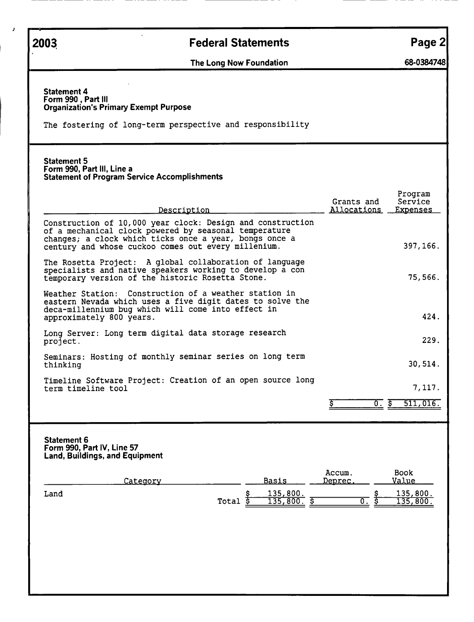| 2003                                     | <b>Federal Statements</b>                                                                                                                                                                                                            | Page 2                                                             |
|------------------------------------------|--------------------------------------------------------------------------------------------------------------------------------------------------------------------------------------------------------------------------------------|--------------------------------------------------------------------|
|                                          | The Long Now Foundation                                                                                                                                                                                                              | 68-0384748                                                         |
| <b>Statement 4</b><br>Form 990, Part III | <b>Organization's Primary Exempt Purpose</b><br>The fostering of long-term perspective and responsibility                                                                                                                            |                                                                    |
| <b>Statement 5</b>                       | Form 990, Part III, Line a<br><b>Statement of Program Service Accomplishments</b>                                                                                                                                                    |                                                                    |
|                                          | Description                                                                                                                                                                                                                          | Program<br>Service<br>Grants and<br>Allocations<br><b>Expenses</b> |
|                                          | Construction of 10,000 year clock: Design and construction<br>of a mechanical clock powered by seasonal temperature<br>changes; a clock which ticks once a year, bongs once a<br>century and whose cuckoo comes out every millenium. | 397, 166.                                                          |
|                                          | The Rosetta Project: A global collaboration of language<br>specialists and native speakers working to develop a con<br>temporary version of the historic Rosetta Stone.                                                              | 75,566.                                                            |
|                                          | Weather Station: Construction of a weather station in<br>eastern Nevada which uses a five digit dates to solve the<br>deca-millennium bug which will come into effect in<br>approximately 800 years.                                 | 424.                                                               |
| project.                                 | Long Server: Long term digital data storage research                                                                                                                                                                                 | 229.                                                               |
| thinking                                 | Seminars: Hosting of monthly seminar series on long term                                                                                                                                                                             | 30,514.                                                            |
|                                          | Timeline Software Project: Creation of an open source long<br>term timeline tool                                                                                                                                                     | 7,117.                                                             |
|                                          |                                                                                                                                                                                                                                      | 511,016.<br>०. इ                                                   |
| <b>Statement 6</b>                       | Form 990, Part IV, Line 57<br><b>Land, Buildings, and Equipment</b><br><b>Basis</b><br>Category                                                                                                                                      | <b>Book</b><br>Accum.<br><u>Value</u><br>Deprec.                   |
| Land                                     | 135,800.<br>\$<br>ङ<br>Total<br>135,800.                                                                                                                                                                                             | 135,800.<br>ᡕ.<br>135,800                                          |
|                                          |                                                                                                                                                                                                                                      |                                                                    |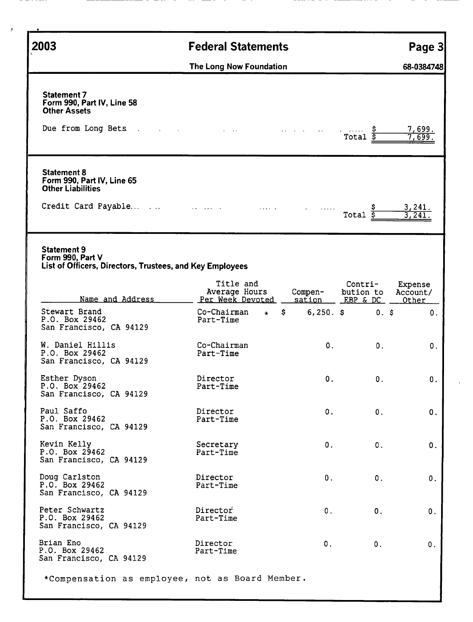| 2003                                                                                                                   | <b>Federal Statements</b>                      |                  |                                               | Page 3                 |
|------------------------------------------------------------------------------------------------------------------------|------------------------------------------------|------------------|-----------------------------------------------|------------------------|
|                                                                                                                        | The Long Now Foundation                        |                  |                                               | 68-0384748             |
| <b>Statement 7</b><br>Form 990, Part IV, Line 58<br><b>Other Assets</b><br>Due from Long Bets .                        | $\sim 100$                                     |                  | $\sim 100$ km s $^{-1}$<br>Total              | <u>7,699.</u><br>7,699 |
| <b>Statement 8</b><br>Form 990, Part IV, Line 65<br><b>Other Liabilities</b><br>Credit Card Payable                    |                                                | and construction | Total $\overline{s}$                          | 3,241.                 |
| <b>Statement 9</b><br>Form 990, Part V<br>List of Officers, Directors, Trustees, and Key Employees<br>Name and Address | Title and<br>Average Hours<br>Per Week Devoted | Compen-          | Contri-<br>bution to<br>sation EBP & DC Other | Expense<br>Account/    |
| Stewart Brand<br>P.O. Box 29462<br>San Francisco, CA 94129                                                             | Co-Chairman<br>$\star$<br>Part-Time            | $\mathsf{S}$     | $6,250.$ \$<br>$0.$ \$                        | 0.                     |
| W. Daniel Hillis<br>P.O. Box 29462<br>San Francisco, CA 94129                                                          | Co-Chairman<br>Part-Time                       | 0.               | 0.                                            | 0.                     |
| Esther Dyson<br>P.O. Box 29462<br>San Francisco, CA 94129                                                              | Director<br>Part-Time                          | 0.               | 0.                                            | О.                     |
| Paul Saffo<br>P.O. Box 29462<br>San Francisco, CA 94129                                                                | Director<br>Part-Time                          | $\mathbf{0}$ .   | 0.                                            | 0.                     |
| Kevin Kelly<br>P.0. Box 29462<br>San Francisco, CA 94129                                                               | Secretary<br>Part-Time                         | $0$ .            | 0.                                            | 0.                     |
| Doug Carlston<br>P.O. Box 29462<br>San Francisco, CA 94129                                                             | Director<br>Part-Time                          | $\mathbf 0$ .    | 0.                                            | 0.                     |
| Peter Schwartz<br>P.O. Box 29462<br>San Francisco, CA 94129                                                            | Director<br>Part-Time                          | 0.               | 0.                                            | 0.                     |
| Brian Eno<br>P.O. Box 29462<br>San Francisco, CA 94129                                                                 | Director<br>Part-Time                          | 0.               | 0.                                            | 0.                     |
| *Compensation as employee, not as Board Member.                                                                        |                                                |                  |                                               |                        |

- - - - ---

 $\lambda$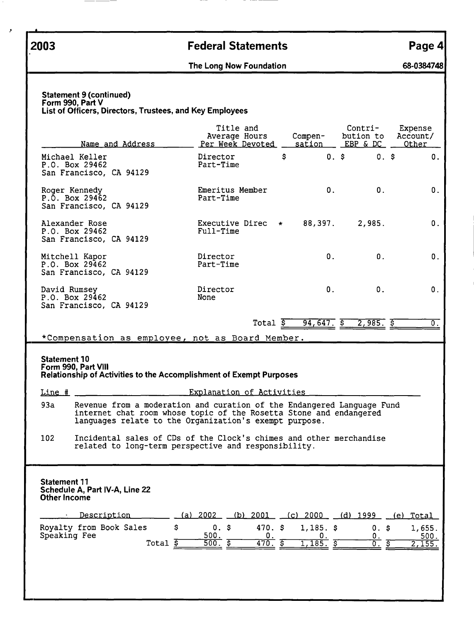,

# .2003 Federal Statements Page 4

The Long Now Foundation 68-0384748

| Name and Address                                                                                                                                                                                                                                                                                                                                | Title and<br>Average Hours<br>Per Week Devoted      |                       | <u>sation</u>    | Contri-<br>Compen- bution to<br>EBP & DC | Expense<br>Account/<br>Other     |
|-------------------------------------------------------------------------------------------------------------------------------------------------------------------------------------------------------------------------------------------------------------------------------------------------------------------------------------------------|-----------------------------------------------------|-----------------------|------------------|------------------------------------------|----------------------------------|
| Michael Keller<br>P.O. Box 29462<br>San Francisco, CA 94129                                                                                                                                                                                                                                                                                     | Director<br>Part-Time                               | \$                    |                  | 0.5<br>$0.$ \$                           | 0.                               |
| Roger Kennedy<br>$P.\bar{O}$ . Box 29462<br>San Francisco, CA 94129                                                                                                                                                                                                                                                                             | Emeritus Member<br>Part-Time                        |                       | 0.               | 0.                                       | 0.                               |
| Alexander Rose<br>P.O. Box 29462<br>San Francisco, CA 94129                                                                                                                                                                                                                                                                                     | Executive Direc $\star$ 88,397. 2,985.<br>Full-Time |                       |                  |                                          | 0.                               |
| Mitchell Kapor<br>P.0. Box 29462<br>San Francisco, CA 94129                                                                                                                                                                                                                                                                                     | Director<br>Part-Time                               |                       | 0.               | 0.                                       | 0.                               |
| David Rumsey                                                                                                                                                                                                                                                                                                                                    | Director                                            |                       | $\mathbf{0}$ .   | 0.                                       | 0.                               |
|                                                                                                                                                                                                                                                                                                                                                 | None                                                |                       |                  |                                          |                                  |
|                                                                                                                                                                                                                                                                                                                                                 |                                                     | $Total$ $\frac{1}{5}$ | $94,647.$ \$     | $2,985.$ \$                              |                                  |
| Revenue from a moderation and curation of the Endangered Language Fund<br>internet chat room whose topic of the Rosetta Stone and endangered                                                                                                                                                                                                    | Explanation of Activities                           |                       |                  |                                          |                                  |
| languages relate to the Organization's exempt purpose.<br>Incidental sales of CDs of the Clock's chimes and other merchandise<br>related to long-term perspective and responsibility.                                                                                                                                                           |                                                     |                       |                  |                                          |                                  |
|                                                                                                                                                                                                                                                                                                                                                 |                                                     |                       |                  |                                          |                                  |
| P.0. Box 29462<br>San Francisco, CA 94129<br>*Compensation as employee, not as Board Member.<br><b>Statement 10</b><br>Form 990, Part VIII<br><b>Relationship of Activities to the Accomplishment of Exempt Purposes</b><br>Line #<br>93a<br>102<br><b>Statement 11</b><br>Schedule A, Part IV-A, Line 22<br><b>Other Income</b><br>Description | (a) 2002<br>(b) 2001                                |                       | <u>(c) 2000 </u> | <u>(d) 1999 </u>                         | $\overline{0}$ .<br>Total<br>(e) |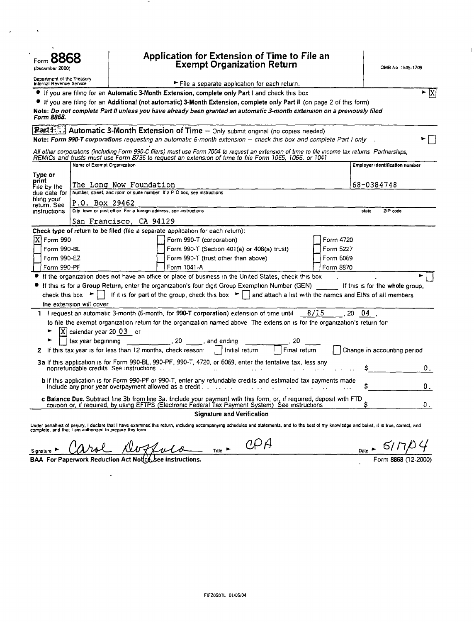| ⊦orm <b>⊖C</b><br>(December 2000)                      |                                                                 | Application for Extension of Time to File an<br><b>Exempt Organization Return</b>                                                                                                                                                                         |                                                                                                              |                                |                                   |              | OMB No 1545-1709 |         |                                       |
|--------------------------------------------------------|-----------------------------------------------------------------|-----------------------------------------------------------------------------------------------------------------------------------------------------------------------------------------------------------------------------------------------------------|--------------------------------------------------------------------------------------------------------------|--------------------------------|-----------------------------------|--------------|------------------|---------|---------------------------------------|
| Department of the Treasury<br>Internal Revenue Service |                                                                 |                                                                                                                                                                                                                                                           | File a separate application for each return.                                                                 |                                |                                   |              |                  |         |                                       |
|                                                        |                                                                 |                                                                                                                                                                                                                                                           | If you are filing for an Automatic 3-Month Extension, complete only Part I and check this box                |                                |                                   |              |                  |         | ►  X                                  |
|                                                        |                                                                 | If you are filing for an Additional (not automatic) 3-Month Extension, complete only Part II (on page 2 of this form)                                                                                                                                     |                                                                                                              |                                |                                   |              |                  |         |                                       |
| Form 8868.                                             |                                                                 | Note: Do not complete Part II unless you have already been granted an automatic 3-month extension on a previously filed                                                                                                                                   |                                                                                                              |                                |                                   |              |                  |         |                                       |
|                                                        |                                                                 | <b>Partitle Automatic 3-Month Extension of Time -</b> Only submit original (no copies needed)<br>Note: Form 990-T corporations requesting an automatic 6-month extension - check this box and complete Part I only                                        |                                                                                                              |                                |                                   |              |                  |         |                                       |
|                                                        |                                                                 | All other corporations (including Form 990-C filers) must use Form 7004 to request an extension of time to file income tax returns Partnerships,<br>REMICs and trusts must use Form 8736 to request an extension of time to file Form 1065, 1066, or 1041 |                                                                                                              |                                |                                   |              |                  |         |                                       |
| Name of Exempt Organization                            |                                                                 |                                                                                                                                                                                                                                                           |                                                                                                              |                                |                                   |              |                  |         | <b>Employer Identification number</b> |
| Type or                                                |                                                                 |                                                                                                                                                                                                                                                           |                                                                                                              |                                |                                   |              |                  |         |                                       |
| print<br>File by the <b>F</b>                          |                                                                 | The Long Now Foundation                                                                                                                                                                                                                                   |                                                                                                              |                                |                                   |              |                  |         | 68-0384748                            |
| due date for<br>filing your                            |                                                                 | Number, street, and room or suite number If a P O box, see instructions                                                                                                                                                                                   |                                                                                                              |                                |                                   |              |                  |         |                                       |
| return. See                                            | P.O. Box 29462                                                  | City town or post office For a foreign address, see instructions                                                                                                                                                                                          |                                                                                                              |                                |                                   |              |                  |         |                                       |
| instructions                                           |                                                                 |                                                                                                                                                                                                                                                           |                                                                                                              |                                |                                   |              |                  | state   | ZIP code                              |
|                                                        |                                                                 | San Francisco, CA 94129                                                                                                                                                                                                                                   |                                                                                                              |                                |                                   |              |                  |         |                                       |
| IXI Form 990                                           |                                                                 | Check type of return to be filed (file a separate application for each return):                                                                                                                                                                           | Form 990-T (corporation)                                                                                     |                                |                                   |              | Form 4720        |         |                                       |
|                                                        |                                                                 |                                                                                                                                                                                                                                                           |                                                                                                              |                                |                                   |              |                  |         |                                       |
| Form 990-BL<br>Form 990-EZ                             |                                                                 |                                                                                                                                                                                                                                                           | Form 990-T (Section 401(a) or 408(a) trust)<br>Form 5227<br>Form 990-T (trust other than above)<br>Form 6069 |                                |                                   |              |                  |         |                                       |
| Form 990-PF                                            |                                                                 |                                                                                                                                                                                                                                                           | Form 1041-A<br>Form 8870                                                                                     |                                |                                   |              |                  |         |                                       |
|                                                        |                                                                 | If the organization does not have an office or place of business in the United States, check this box                                                                                                                                                     |                                                                                                              |                                |                                   |              |                  |         |                                       |
|                                                        | check this box $\blacktriangleright$                            | If this is for a Group Return, enter the organization's four digit Group Exemption Number (GEN)<br>If it is for part of the group, check this box $\blacktriangleright$ and attach a list with the names and EINs of all members                          |                                                                                                              |                                |                                   |              |                  |         | If this is for the whole group,       |
|                                                        | the extension will cover                                        |                                                                                                                                                                                                                                                           |                                                                                                              |                                |                                   |              |                  |         |                                       |
|                                                        |                                                                 | 1 I request an automatic 3-month (6-month, for 990-T corporation) extension of time until                                                                                                                                                                 |                                                                                                              |                                |                                   |              | 8/15             | 20 04 . |                                       |
|                                                        |                                                                 | to file the exempt organization return for the organization named above. The extension is for the organization's return for                                                                                                                               |                                                                                                              |                                |                                   |              |                  |         |                                       |
|                                                        | $ X $ calendar year 20 03 or<br>tax year beginning              |                                                                                                                                                                                                                                                           | , 20 , and ending                                                                                            |                                |                                   | . 20         |                  |         |                                       |
| z                                                      |                                                                 | If this tax year is for less than 12 months, check reason: $\parallel$   initial return                                                                                                                                                                   |                                                                                                              |                                |                                   | Final return |                  |         | Change in accounting period           |
|                                                        |                                                                 |                                                                                                                                                                                                                                                           |                                                                                                              |                                |                                   |              |                  |         |                                       |
|                                                        |                                                                 | 3a If this application is for Form 990-BL, 990-PF, 990-T, 4720, or 6069, enter the tentative tax, less any                                                                                                                                                |                                                                                                              |                                |                                   |              |                  |         | О.                                    |
|                                                        |                                                                 | b If this application is for Form 990-PF or 990-T, enter any refundable credits and estimated tax payments made<br>Include any prior year overpayment allowed as a credit.                                                                                |                                                                                                              |                                |                                   |              |                  |         |                                       |
|                                                        |                                                                 | c Balance Due. Subtract line 3b from line 3a. Include your payment with this form, or, if required, deposit with FTD coupon or, if required, by using EFTPS (Electronic Federal Tax Payment System) See instructions                                      |                                                                                                              |                                |                                   |              |                  |         | О.                                    |
|                                                        |                                                                 |                                                                                                                                                                                                                                                           |                                                                                                              |                                | <b>Signature and Verification</b> |              |                  |         |                                       |
|                                                        | complete, and that I am authorized to prepare this form         | Under penalties of perjury, I declare that I have examined this return, including accompanying schedules and statements, and to the best of my knowledge and belief, it is true, correct, and                                                             |                                                                                                              |                                |                                   |              |                  |         |                                       |
| Signature                                              |                                                                 |                                                                                                                                                                                                                                                           |                                                                                                              | Title $\overline{\phantom{a}}$ | 0.P A                             |              |                  |         |                                       |
|                                                        | <b>BAA For Paperwork Reduction Act Notice see instructions.</b> |                                                                                                                                                                                                                                                           |                                                                                                              |                                |                                   |              |                  |         |                                       |

 $\bar{\bar{1}}$ 

 $\ddot{\phantom{a}}$ 

 $\mathcal{A}$ 

 $\frac{1}{2}$